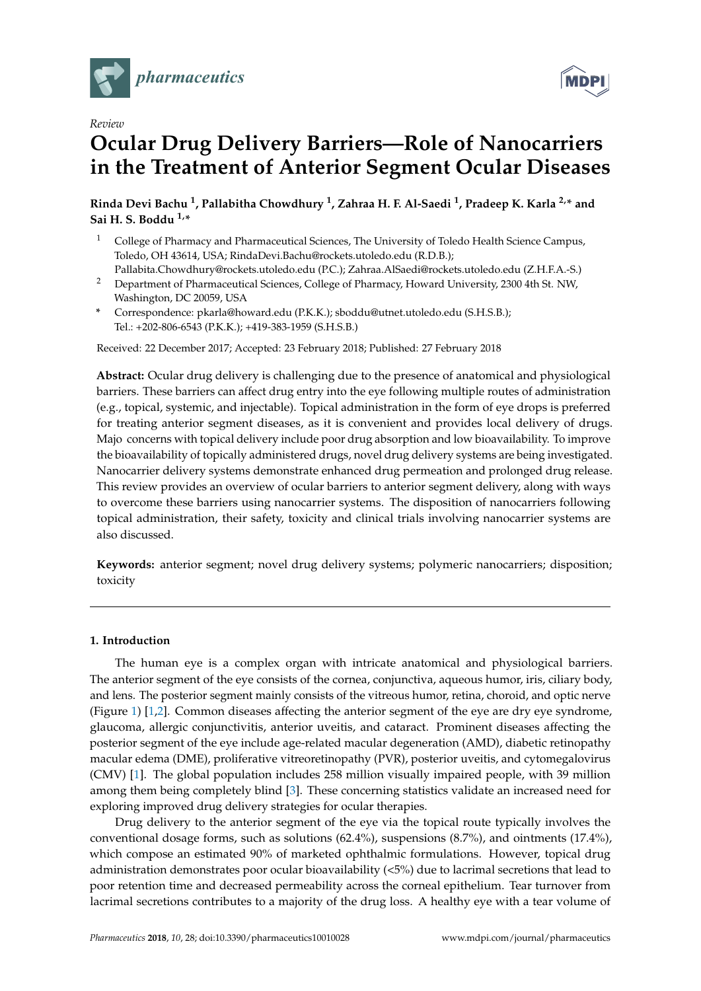

*Review*



# **Ocular Drug Delivery Barriers—Role of Nanocarriers in the Treatment of Anterior Segment Ocular Diseases**

**Rinda Devi Bachu <sup>1</sup> , Pallabitha Chowdhury <sup>1</sup> , Zahraa H. F. Al-Saedi <sup>1</sup> , Pradeep K. Karla 2,\* and Sai H. S. Boddu 1,\***

- <sup>1</sup> College of Pharmacy and Pharmaceutical Sciences, The University of Toledo Health Science Campus, Toledo, OH 43614, USA; RindaDevi.Bachu@rockets.utoledo.edu (R.D.B.);
- Pallabita.Chowdhury@rockets.utoledo.edu (P.C.); Zahraa.AlSaedi@rockets.utoledo.edu (Z.H.F.A.-S.) <sup>2</sup> Department of Pharmaceutical Sciences, College of Pharmacy, Howard University, 2300 4th St. NW, Washington, DC 20059, USA
- **\*** Correspondence: pkarla@howard.edu (P.K.K.); sboddu@utnet.utoledo.edu (S.H.S.B.); Tel.: +202-806-6543 (P.K.K.); +419-383-1959 (S.H.S.B.)

Received: 22 December 2017; Accepted: 23 February 2018; Published: 27 February 2018

**Abstract:** Ocular drug delivery is challenging due to the presence of anatomical and physiological barriers. These barriers can affect drug entry into the eye following multiple routes of administration (e.g., topical, systemic, and injectable). Topical administration in the form of eye drops is preferred for treating anterior segment diseases, as it is convenient and provides local delivery of drugs. Majo concerns with topical delivery include poor drug absorption and low bioavailability. To improve the bioavailability of topically administered drugs, novel drug delivery systems are being investigated. Nanocarrier delivery systems demonstrate enhanced drug permeation and prolonged drug release. This review provides an overview of ocular barriers to anterior segment delivery, along with ways to overcome these barriers using nanocarrier systems. The disposition of nanocarriers following topical administration, their safety, toxicity and clinical trials involving nanocarrier systems are also discussed.

**Keywords:** anterior segment; novel drug delivery systems; polymeric nanocarriers; disposition; toxicity

## **1. Introduction**

The human eye is a complex organ with intricate anatomical and physiological barriers. The anterior segment of the eye consists of the cornea, conjunctiva, aqueous humor, iris, ciliary body, and lens. The posterior segment mainly consists of the vitreous humor, retina, choroid, and optic nerve (Figure 1) [1,2]. Common diseases affecting the anterior segment of the eye are dry eye syndrome, glaucoma, allergic conjunctivitis, anterior uveitis, and cataract. Prominent diseases affecting the posterior segment of the eye include age-related macular degeneration (AMD), diabetic retinopathy macular edema (DME), proliferative vitreoretinopathy (PVR), posterior uveitis, and cytomegalovirus (CMV) [1]. The global population includes 258 million visually impaired people, with 39 million among them being completely blind [3]. These concerning statistics validate an increased need for exploring improved drug delivery strategies for ocular therapies.

Drug delivery to the anterior segment of the eye via the topical route typically involves the conventional dosage forms, such as solutions (62.4%), suspensions (8.7%), and ointments (17.4%), which compose an estimated 90% of marketed ophthalmic formulations. However, topical drug administration demonstrates poor ocular bioavailability (<5%) due to lacrimal secretions that lead to poor retention time and decreased permeability across the corneal epithelium. Tear turnover from lacrimal secretions contributes to a majority of the drug loss. A healthy eye with a tear volume of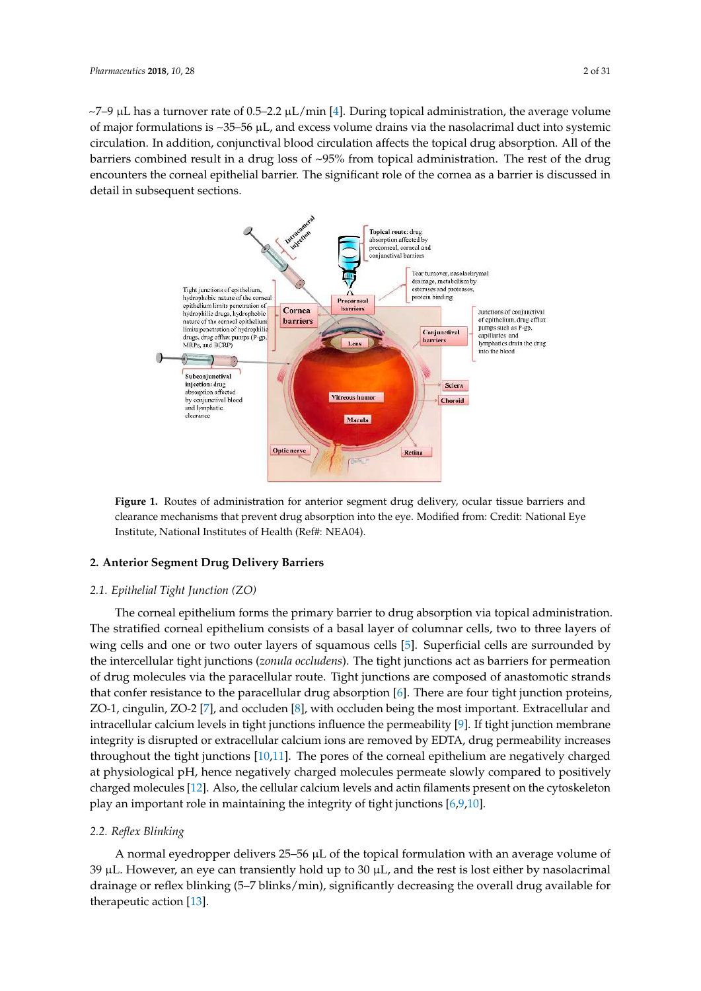$\sim$ 7–9 µL has a turnover rate of 0.5–2.2 µL/min [4]. During topical administration, the average volume of major formulations is  $\sim$ 35–56  $\mu$ L, and excess volume drains via the nasolacrimal duct into systemic circulation. In addition, conjunctival blood circulation affects the topical drug absorption. All of the barriers combined result in a drug loss of  $\sim$ 95% from topical administration. The rest of the drug encounters the corneal epithelial barrier. The significant role of the cornea as a barrier is discussed in detail in subsequent sections.



**Figure 1.** Routes of administration for anterior segment drug delivery, ocular tissue barriers and clearance mechanisms that prevent drug absorption into the eye. Modified from: Credit: National Eye Institute, National Institutes of Health (Ref#: NEA04).

## **2. Anterior Segment Drug Delivery Barriers**

### *2.1. Epithelial Tight Junction (ZO)*

The corneal epithelium forms the primary barrier to drug absorption via topical administration. The stratified corneal epithelium consists of a basal layer of columnar cells, two to three layers of wing cells and one or two outer layers of squamous cells [5]. Superficial cells are surrounded by the intercellular tight junctions (*zonula occludens*). The tight junctions act as barriers for permeation of drug molecules via the paracellular route. Tight junctions are composed of anastomotic strands that confer resistance to the paracellular drug absorption [6]. There are four tight junction proteins, ZO-1, cingulin, ZO-2 [7], and occluden [8], with occluden being the most important. Extracellular and intracellular calcium levels in tight junctions influence the permeability [9]. If tight junction membrane integrity is disrupted or extracellular calcium ions are removed by EDTA, drug permeability increases throughout the tight junctions [10,11]. The pores of the corneal epithelium are negatively charged at physiological pH, hence negatively charged molecules permeate slowly compared to positively charged molecules [12]. Also, the cellular calcium levels and actin filaments present on the cytoskeleton play an important role in maintaining the integrity of tight junctions [6,9,10].

#### *2.2. Reflex Blinking*

A normal eyedropper delivers  $25-56 \mu L$  of the topical formulation with an average volume of  $39 \mu L$ . However, an eye can transiently hold up to  $30 \mu L$ , and the rest is lost either by nasolacrimal drainage or reflex blinking (5–7 blinks/min), significantly decreasing the overall drug available for therapeutic action [13].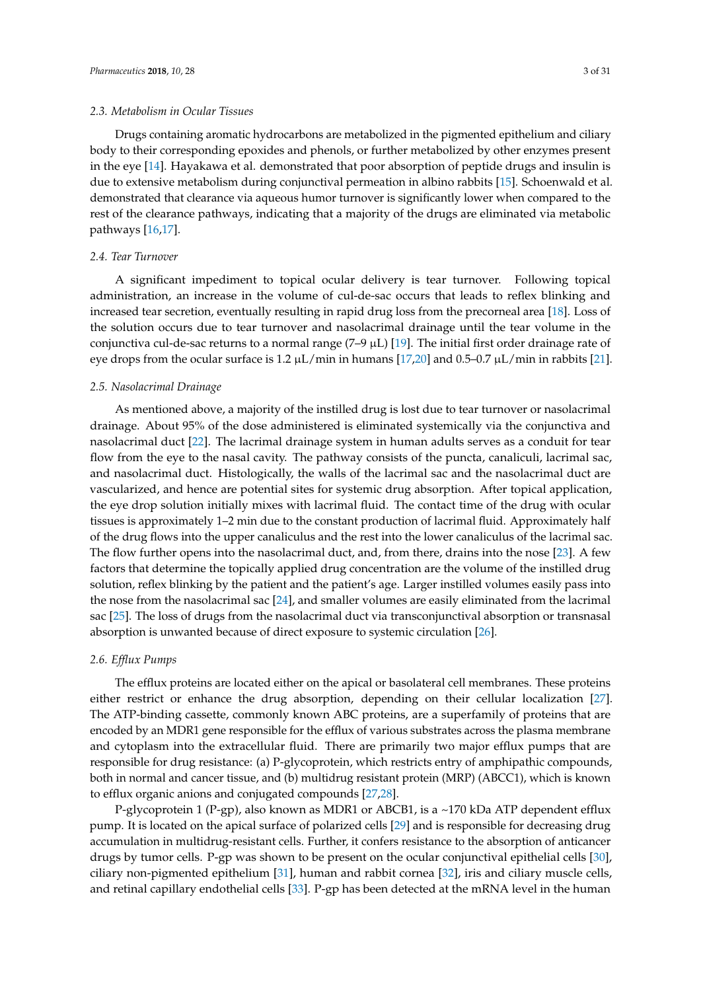## *2.3. Metabolism in Ocular Tissues*

Drugs containing aromatic hydrocarbons are metabolized in the pigmented epithelium and ciliary body to their corresponding epoxides and phenols, or further metabolized by other enzymes present in the eye [14]. Hayakawa et al. demonstrated that poor absorption of peptide drugs and insulin is due to extensive metabolism during conjunctival permeation in albino rabbits [15]. Schoenwald et al. demonstrated that clearance via aqueous humor turnover is significantly lower when compared to the rest of the clearance pathways, indicating that a majority of the drugs are eliminated via metabolic pathways [16,17].

## *2.4. Tear Turnover*

A significant impediment to topical ocular delivery is tear turnover. Following topical administration, an increase in the volume of cul-de-sac occurs that leads to reflex blinking and increased tear secretion, eventually resulting in rapid drug loss from the precorneal area [18]. Loss of the solution occurs due to tear turnover and nasolacrimal drainage until the tear volume in the conjunctiva cul-de-sac returns to a normal range  $(7-9 \mu L)$  [19]. The initial first order drainage rate of eye drops from the ocular surface is 1.2  $\mu$ L/min in humans [17,20] and 0.5–0.7  $\mu$ L/min in rabbits [21].

#### *2.5. Nasolacrimal Drainage*

As mentioned above, a majority of the instilled drug is lost due to tear turnover or nasolacrimal drainage. About 95% of the dose administered is eliminated systemically via the conjunctiva and nasolacrimal duct [22]. The lacrimal drainage system in human adults serves as a conduit for tear flow from the eye to the nasal cavity. The pathway consists of the puncta, canaliculi, lacrimal sac, and nasolacrimal duct. Histologically, the walls of the lacrimal sac and the nasolacrimal duct are vascularized, and hence are potential sites for systemic drug absorption. After topical application, the eye drop solution initially mixes with lacrimal fluid. The contact time of the drug with ocular tissues is approximately 1–2 min due to the constant production of lacrimal fluid. Approximately half of the drug flows into the upper canaliculus and the rest into the lower canaliculus of the lacrimal sac. The flow further opens into the nasolacrimal duct, and, from there, drains into the nose [23]. A few factors that determine the topically applied drug concentration are the volume of the instilled drug solution, reflex blinking by the patient and the patient's age. Larger instilled volumes easily pass into the nose from the nasolacrimal sac [24], and smaller volumes are easily eliminated from the lacrimal sac [25]. The loss of drugs from the nasolacrimal duct via transconjunctival absorption or transnasal absorption is unwanted because of direct exposure to systemic circulation [26].

## *2.6. Efflux Pumps*

The efflux proteins are located either on the apical or basolateral cell membranes. These proteins either restrict or enhance the drug absorption, depending on their cellular localization [27]. The ATP-binding cassette, commonly known ABC proteins, are a superfamily of proteins that are encoded by an MDR1 gene responsible for the efflux of various substrates across the plasma membrane and cytoplasm into the extracellular fluid. There are primarily two major efflux pumps that are responsible for drug resistance: (a) P-glycoprotein, which restricts entry of amphipathic compounds, both in normal and cancer tissue, and (b) multidrug resistant protein (MRP) (ABCC1), which is known to efflux organic anions and conjugated compounds [27,28].

P-glycoprotein 1 (P-gp), also known as MDR1 or ABCB1, is a ~170 kDa ATP dependent efflux pump. It is located on the apical surface of polarized cells [29] and is responsible for decreasing drug accumulation in multidrug-resistant cells. Further, it confers resistance to the absorption of anticancer drugs by tumor cells. P-gp was shown to be present on the ocular conjunctival epithelial cells [30], ciliary non-pigmented epithelium [31], human and rabbit cornea [32], iris and ciliary muscle cells, and retinal capillary endothelial cells [33]. P-gp has been detected at the mRNA level in the human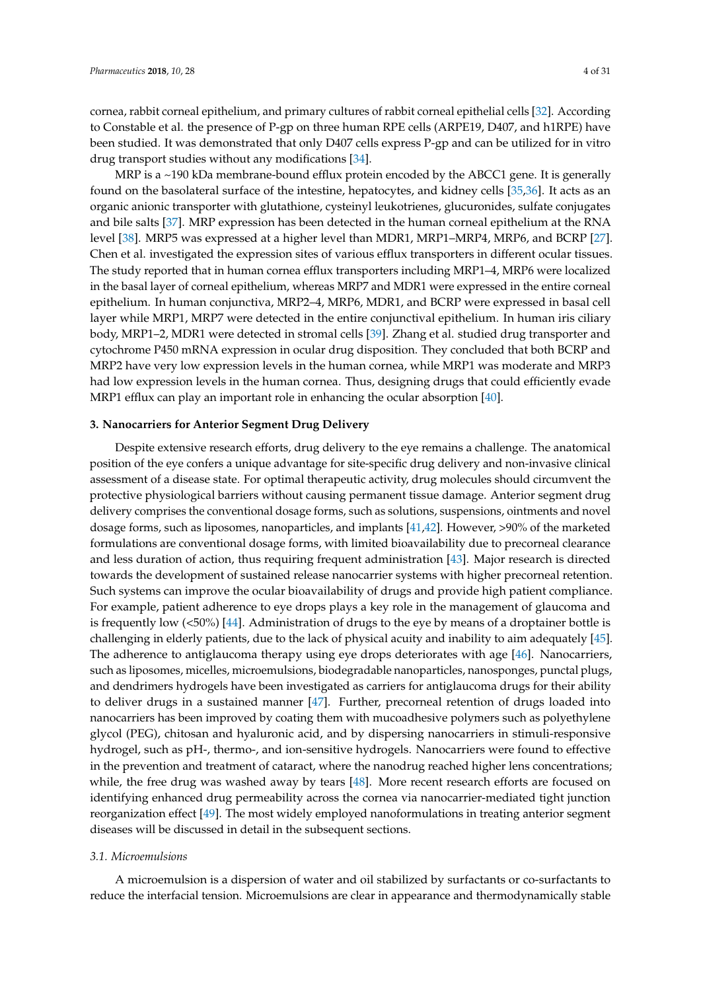cornea, rabbit corneal epithelium, and primary cultures of rabbit corneal epithelial cells [32]. According to Constable et al. the presence of P-gp on three human RPE cells (ARPE19, D407, and h1RPE) have been studied. It was demonstrated that only D407 cells express P-gp and can be utilized for in vitro drug transport studies without any modifications [34].

MRP is a ~190 kDa membrane-bound efflux protein encoded by the ABCC1 gene. It is generally found on the basolateral surface of the intestine, hepatocytes, and kidney cells [35,36]. It acts as an organic anionic transporter with glutathione, cysteinyl leukotrienes, glucuronides, sulfate conjugates and bile salts [37]. MRP expression has been detected in the human corneal epithelium at the RNA level [38]. MRP5 was expressed at a higher level than MDR1, MRP1–MRP4, MRP6, and BCRP [27]. Chen et al. investigated the expression sites of various efflux transporters in different ocular tissues. The study reported that in human cornea efflux transporters including MRP1–4, MRP6 were localized in the basal layer of corneal epithelium, whereas MRP7 and MDR1 were expressed in the entire corneal epithelium. In human conjunctiva, MRP2–4, MRP6, MDR1, and BCRP were expressed in basal cell layer while MRP1, MRP7 were detected in the entire conjunctival epithelium. In human iris ciliary body, MRP1–2, MDR1 were detected in stromal cells [39]. Zhang et al. studied drug transporter and cytochrome P450 mRNA expression in ocular drug disposition. They concluded that both BCRP and MRP2 have very low expression levels in the human cornea, while MRP1 was moderate and MRP3 had low expression levels in the human cornea. Thus, designing drugs that could efficiently evade MRP1 efflux can play an important role in enhancing the ocular absorption [40].

## **3. Nanocarriers for Anterior Segment Drug Delivery**

Despite extensive research efforts, drug delivery to the eye remains a challenge. The anatomical position of the eye confers a unique advantage for site-specific drug delivery and non-invasive clinical assessment of a disease state. For optimal therapeutic activity, drug molecules should circumvent the protective physiological barriers without causing permanent tissue damage. Anterior segment drug delivery comprises the conventional dosage forms, such as solutions, suspensions, ointments and novel dosage forms, such as liposomes, nanoparticles, and implants [41,42]. However, >90% of the marketed formulations are conventional dosage forms, with limited bioavailability due to precorneal clearance and less duration of action, thus requiring frequent administration [43]. Major research is directed towards the development of sustained release nanocarrier systems with higher precorneal retention. Such systems can improve the ocular bioavailability of drugs and provide high patient compliance. For example, patient adherence to eye drops plays a key role in the management of glaucoma and is frequently low (<50%) [44]. Administration of drugs to the eye by means of a droptainer bottle is challenging in elderly patients, due to the lack of physical acuity and inability to aim adequately [45]. The adherence to antiglaucoma therapy using eye drops deteriorates with age [46]. Nanocarriers, such as liposomes, micelles, microemulsions, biodegradable nanoparticles, nanosponges, punctal plugs, and dendrimers hydrogels have been investigated as carriers for antiglaucoma drugs for their ability to deliver drugs in a sustained manner [47]. Further, precorneal retention of drugs loaded into nanocarriers has been improved by coating them with mucoadhesive polymers such as polyethylene glycol (PEG), chitosan and hyaluronic acid, and by dispersing nanocarriers in stimuli-responsive hydrogel, such as pH-, thermo-, and ion-sensitive hydrogels. Nanocarriers were found to effective in the prevention and treatment of cataract, where the nanodrug reached higher lens concentrations; while, the free drug was washed away by tears [48]. More recent research efforts are focused on identifying enhanced drug permeability across the cornea via nanocarrier-mediated tight junction reorganization effect [49]. The most widely employed nanoformulations in treating anterior segment diseases will be discussed in detail in the subsequent sections.

# *3.1. Microemulsions*

A microemulsion is a dispersion of water and oil stabilized by surfactants or co-surfactants to reduce the interfacial tension. Microemulsions are clear in appearance and thermodynamically stable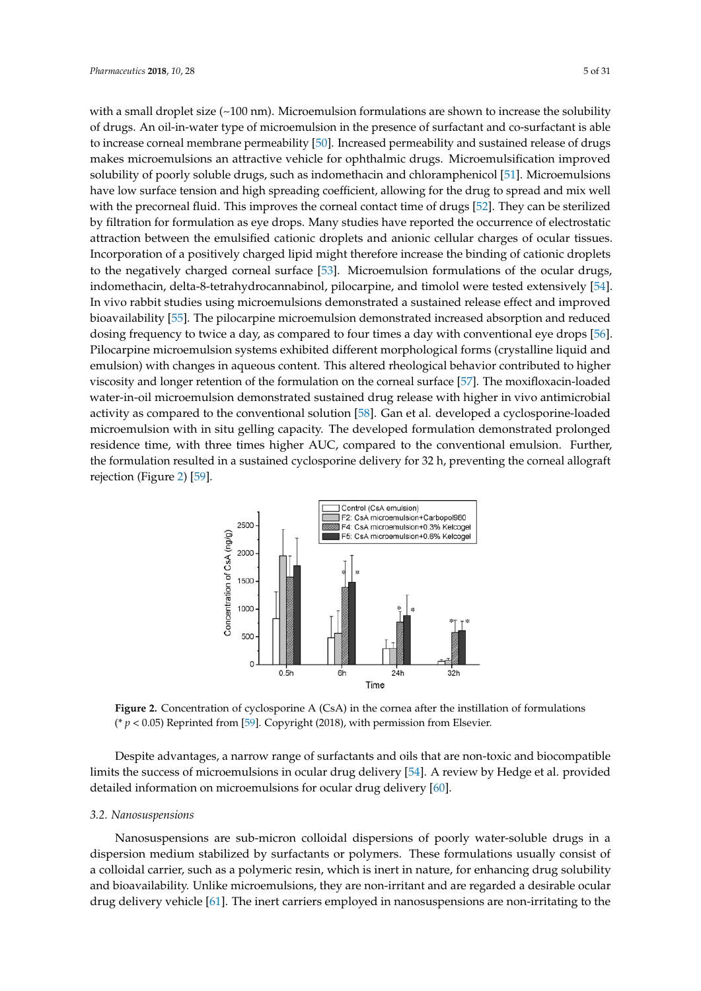with a small droplet size  $(-100 \text{ nm})$ . Microemulsion formulations are shown to increase the solubility of drugs. An oil-in-water type of microemulsion in the presence of surfactant and co-surfactant is able to increase corneal membrane permeability [50]. Increased permeability and sustained release of drugs makes microemulsions an attractive vehicle for ophthalmic drugs. Microemulsification improved solubility of poorly soluble drugs, such as indomethacin and chloramphenicol [51]. Microemulsions have low surface tension and high spreading coefficient, allowing for the drug to spread and mix well with the precorneal fluid. This improves the corneal contact time of drugs [52]. They can be sterilized by filtration for formulation as eye drops. Many studies have reported the occurrence of electrostatic attraction between the emulsified cationic droplets and anionic cellular charges of ocular tissues. Incorporation of a positively charged lipid might therefore increase the binding of cationic droplets to the negatively charged corneal surface [53]. Microemulsion formulations of the ocular drugs, indomethacin, delta-8-tetrahydrocannabinol, pilocarpine, and timolol were tested extensively [54]. In vivo rabbit studies using microemulsions demonstrated a sustained release effect and improved bioavailability [55]. The pilocarpine microemulsion demonstrated increased absorption and reduced dosing frequency to twice a day, as compared to four times a day with conventional eye drops [56]. Pilocarpine microemulsion systems exhibited different morphological forms (crystalline liquid and emulsion) with changes in aqueous content. This altered rheological behavior contributed to higher viscosity and longer retention of the formulation on the corneal surface [57]. The moxifloxacin-loaded water-in-oil microemulsion demonstrated sustained drug release with higher in vivo antimicrobial activity as compared to the conventional solution [58]. Gan et al. developed a cyclosporine-loaded microemulsion with in situ gelling capacity. The developed formulation demonstrated prolonged residence time, with three times higher AUC, compared to the conventional emulsion. Further, the formulation resulted in a sustained cyclosporine delivery for 32 h, preventing the corneal allograft rejection (Figure 2) [59].



**Figure 2.** Concentration of cyclosporine A (CsA) in the cornea after the instillation of formulations ( $* p < 0.05$ ) Reprinted from [59]. Copyright (2018), with permission from Elsevier.

Despite advantages, a narrow range of surfactants and oils that are non-toxic and biocompatible limits the success of microemulsions in ocular drug delivery [54]. A review by Hedge et al. provided detailed information on microemulsions for ocular drug delivery [60].

## *3.2. Nanosuspensions*

Nanosuspensions are sub-micron colloidal dispersions of poorly water-soluble drugs in a dispersion medium stabilized by surfactants or polymers. These formulations usually consist of a colloidal carrier, such as a polymeric resin, which is inert in nature, for enhancing drug solubility and bioavailability. Unlike microemulsions, they are non-irritant and are regarded a desirable ocular drug delivery vehicle [61]. The inert carriers employed in nanosuspensions are non-irritating to the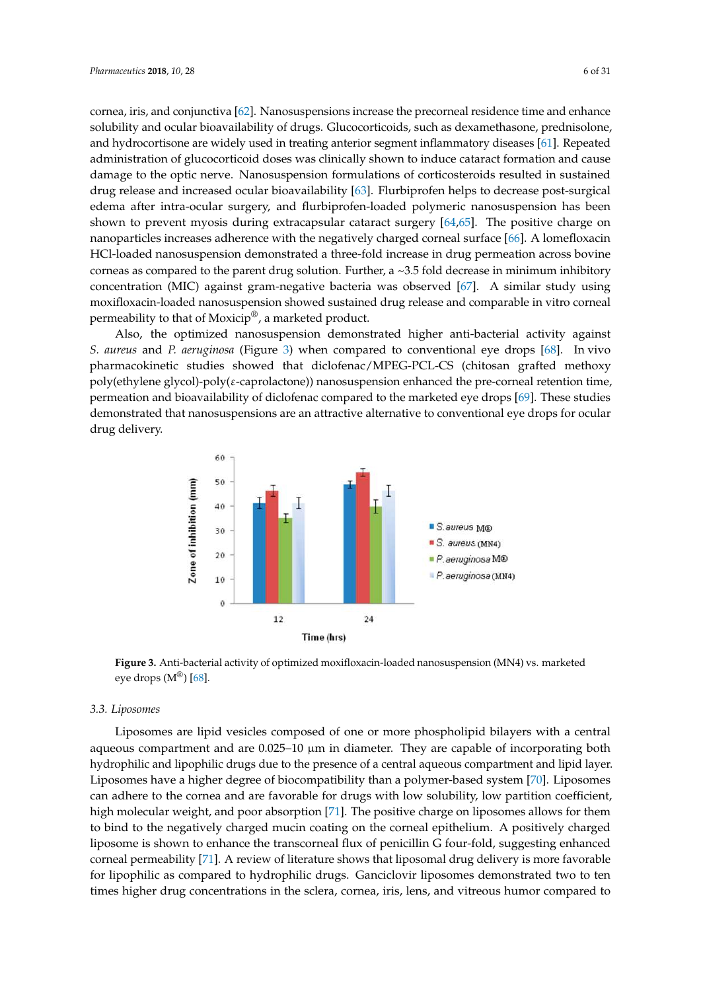cornea, iris, and conjunctiva [62]. Nanosuspensions increase the precorneal residence time and enhance solubility and ocular bioavailability of drugs. Glucocorticoids, such as dexamethasone, prednisolone, and hydrocortisone are widely used in treating anterior segment inflammatory diseases [61]. Repeated administration of glucocorticoid doses was clinically shown to induce cataract formation and cause damage to the optic nerve. Nanosuspension formulations of corticosteroids resulted in sustained drug release and increased ocular bioavailability [63]. Flurbiprofen helps to decrease post-surgical edema after intra-ocular surgery, and flurbiprofen-loaded polymeric nanosuspension has been shown to prevent myosis during extracapsular cataract surgery [64,65]. The positive charge on nanoparticles increases adherence with the negatively charged corneal surface [66]. A lomefloxacin HCl-loaded nanosuspension demonstrated a three-fold increase in drug permeation across bovine corneas as compared to the parent drug solution. Further, a  $\sim$  3.5 fold decrease in minimum inhibitory concentration (MIC) against gram-negative bacteria was observed [67]. A similar study using moxifloxacin-loaded nanosuspension showed sustained drug release and comparable in vitro corneal permeability to that of Moxicip®, a marketed product.

Also, the optimized nanosuspension demonstrated higher anti-bacterial activity against *S. aureus* and *P. aeruginosa* (Figure 3) when compared to conventional eye drops [68]. In vivo pharmacokinetic studies showed that diclofenac/MPEG-PCL-CS (chitosan grafted methoxy poly(ethylene glycol)-poly(ε-caprolactone)) nanosuspension enhanced the pre-corneal retention time, permeation and bioavailability of diclofenac compared to the marketed eye drops [69]. These studies demonstrated that nanosuspensions are an attractive alternative to conventional eye drops for ocular drug delivery.



**Figure 3.** Anti-bacterial activity of optimized moxifloxacin-loaded nanosuspension (MN4) vs. marketed eye drops  $(M^{\circledR})$  [68].

#### *3.3. Liposomes*

Liposomes are lipid vesicles composed of one or more phospholipid bilayers with a central aqueous compartment and are  $0.025-10 \mu m$  in diameter. They are capable of incorporating both hydrophilic and lipophilic drugs due to the presence of a central aqueous compartment and lipid layer. Liposomes have a higher degree of biocompatibility than a polymer-based system [70]. Liposomes can adhere to the cornea and are favorable for drugs with low solubility, low partition coefficient, high molecular weight, and poor absorption [71]. The positive charge on liposomes allows for them to bind to the negatively charged mucin coating on the corneal epithelium. A positively charged liposome is shown to enhance the transcorneal flux of penicillin G four-fold, suggesting enhanced corneal permeability [71]. A review of literature shows that liposomal drug delivery is more favorable for lipophilic as compared to hydrophilic drugs. Ganciclovir liposomes demonstrated two to ten times higher drug concentrations in the sclera, cornea, iris, lens, and vitreous humor compared to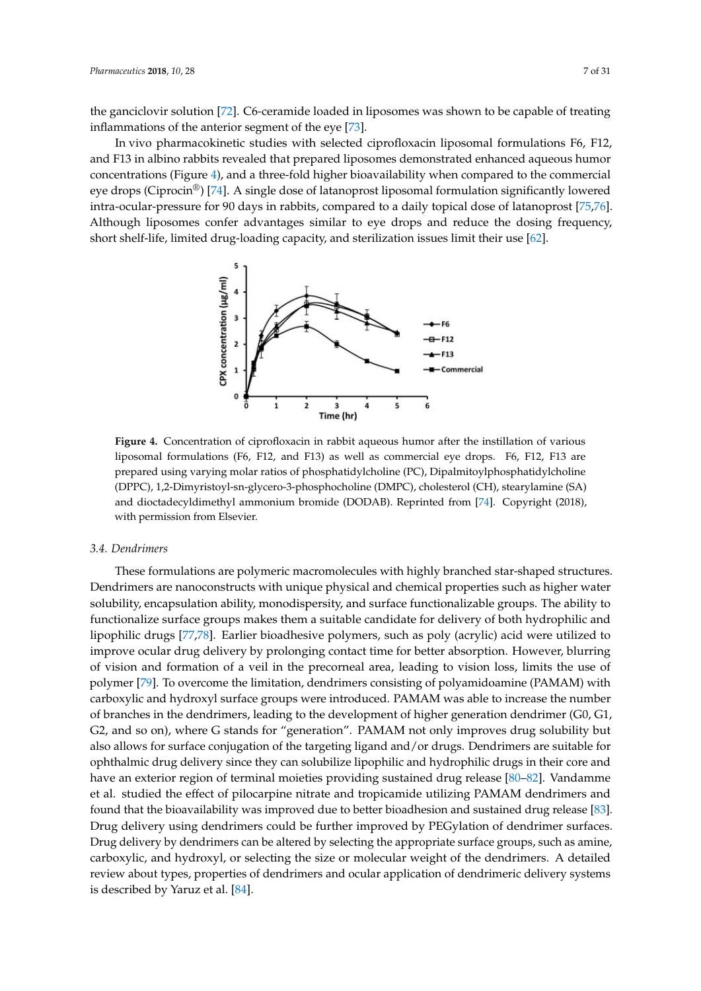the ganciclovir solution [72]. C6-ceramide loaded in liposomes was shown to be capable of treating inflammations of the anterior segment of the eye [73].

In vivo pharmacokinetic studies with selected ciprofloxacin liposomal formulations F6, F12, and F13 in albino rabbits revealed that prepared liposomes demonstrated enhanced aqueous humor concentrations (Figure 4), and a three-fold higher bioavailability when compared to the commercial eye drops (Ciprocin<sup>®</sup>) [74]. A single dose of latanoprost liposomal formulation significantly lowered intra-ocular-pressure for 90 days in rabbits, compared to a daily topical dose of latanoprost [75,76]. Although liposomes confer advantages similar to eye drops and reduce the dosing frequency, short shelf-life, limited drug-loading capacity, and sterilization issues limit their use [62].



**Figure 4.** Concentration of ciprofloxacin in rabbit aqueous humor after the instillation of various liposomal formulations (F6, F12, and F13) as well as commercial eye drops. F6, F12, F13 are prepared using varying molar ratios of phosphatidylcholine (PC), Dipalmitoylphosphatidylcholine (DPPC), 1,2-Dimyristoyl-sn-glycero-3-phosphocholine (DMPC), cholesterol (CH), stearylamine (SA) and dioctadecyldimethyl ammonium bromide (DODAB). Reprinted from [74]. Copyright (2018), with permission from Elsevier.

## *3.4. Dendrimers*

These formulations are polymeric macromolecules with highly branched star-shaped structures. Dendrimers are nanoconstructs with unique physical and chemical properties such as higher water solubility, encapsulation ability, monodispersity, and surface functionalizable groups. The ability to functionalize surface groups makes them a suitable candidate for delivery of both hydrophilic and lipophilic drugs [77,78]. Earlier bioadhesive polymers, such as poly (acrylic) acid were utilized to improve ocular drug delivery by prolonging contact time for better absorption. However, blurring of vision and formation of a veil in the precorneal area, leading to vision loss, limits the use of polymer [79]. To overcome the limitation, dendrimers consisting of polyamidoamine (PAMAM) with carboxylic and hydroxyl surface groups were introduced. PAMAM was able to increase the number of branches in the dendrimers, leading to the development of higher generation dendrimer (G0, G1, G2, and so on), where G stands for "generation". PAMAM not only improves drug solubility but also allows for surface conjugation of the targeting ligand and/or drugs. Dendrimers are suitable for ophthalmic drug delivery since they can solubilize lipophilic and hydrophilic drugs in their core and have an exterior region of terminal moieties providing sustained drug release [80–82]. Vandamme et al. studied the effect of pilocarpine nitrate and tropicamide utilizing PAMAM dendrimers and found that the bioavailability was improved due to better bioadhesion and sustained drug release [83]. Drug delivery using dendrimers could be further improved by PEGylation of dendrimer surfaces. Drug delivery by dendrimers can be altered by selecting the appropriate surface groups, such as amine, carboxylic, and hydroxyl, or selecting the size or molecular weight of the dendrimers. A detailed review about types, properties of dendrimers and ocular application of dendrimeric delivery systems is described by Yaruz et al. [84].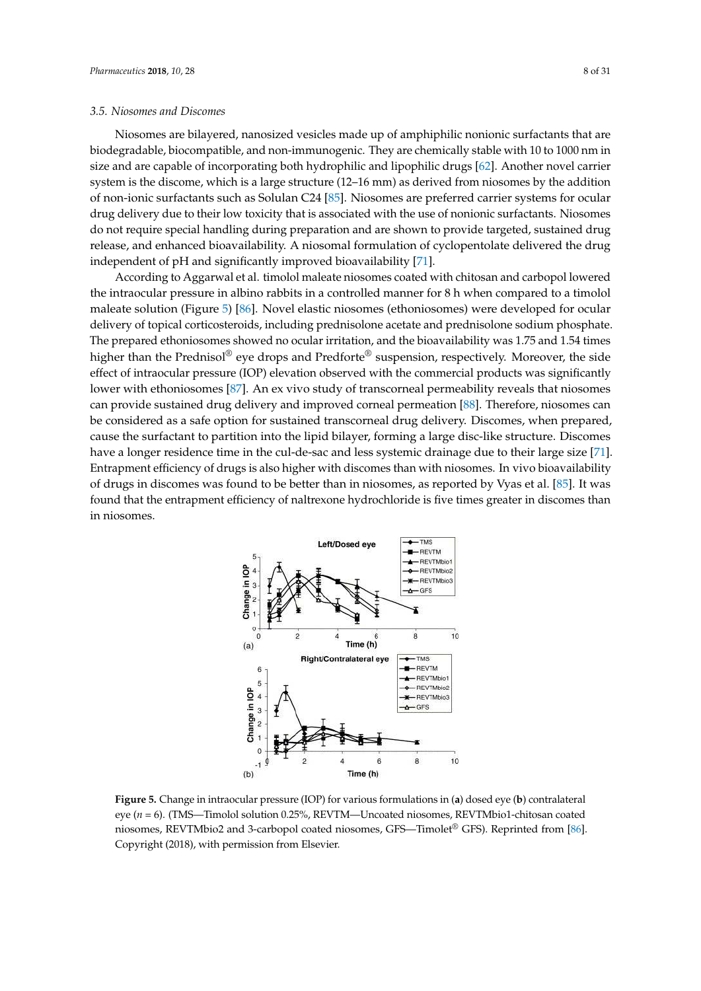## *3.5. Niosomes and Discomes*

Niosomes are bilayered, nanosized vesicles made up of amphiphilic nonionic surfactants that are biodegradable, biocompatible, and non-immunogenic. They are chemically stable with 10 to 1000 nm in size and are capable of incorporating both hydrophilic and lipophilic drugs [62]. Another novel carrier system is the discome, which is a large structure (12–16 mm) as derived from niosomes by the addition of non-ionic surfactants such as Solulan C24 [85]. Niosomes are preferred carrier systems for ocular drug delivery due to their low toxicity that is associated with the use of nonionic surfactants. Niosomes do not require special handling during preparation and are shown to provide targeted, sustained drug release, and enhanced bioavailability. A niosomal formulation of cyclopentolate delivered the drug independent of pH and significantly improved bioavailability [71].

According to Aggarwal et al. timolol maleate niosomes coated with chitosan and carbopol lowered the intraocular pressure in albino rabbits in a controlled manner for 8 h when compared to a timolol maleate solution (Figure 5) [86]. Novel elastic niosomes (ethoniosomes) were developed for ocular delivery of topical corticosteroids, including prednisolone acetate and prednisolone sodium phosphate. The prepared ethoniosomes showed no ocular irritation, and the bioavailability was 1.75 and 1.54 times higher than the Prednisol® eye drops and Predforte® suspension, respectively. Moreover, the side effect of intraocular pressure (IOP) elevation observed with the commercial products was significantly lower with ethoniosomes [87]. An ex vivo study of transcorneal permeability reveals that niosomes can provide sustained drug delivery and improved corneal permeation [88]. Therefore, niosomes can be considered as a safe option for sustained transcorneal drug delivery. Discomes, when prepared, cause the surfactant to partition into the lipid bilayer, forming a large disc-like structure. Discomes have a longer residence time in the cul-de-sac and less systemic drainage due to their large size [71]. Entrapment efficiency of drugs is also higher with discomes than with niosomes. In vivo bioavailability of drugs in discomes was found to be better than in niosomes, as reported by Vyas et al. [85]. It was found that the entrapment efficiency of naltrexone hydrochloride is five times greater in discomes than in niosomes.



**Figure 5.** Change in intraocular pressure (IOP) for various formulations in (**a**) dosed eye (**b**) contralateral eye (*n* = 6). (TMS—Timolol solution 0.25%, REVTM—Uncoated niosomes, REVTMbio1-chitosan coated niosomes, REVTMbio2 and 3-carbopol coated niosomes, GFS—Timolet® GFS). Reprinted from [86]. Copyright (2018), with permission from Elsevier.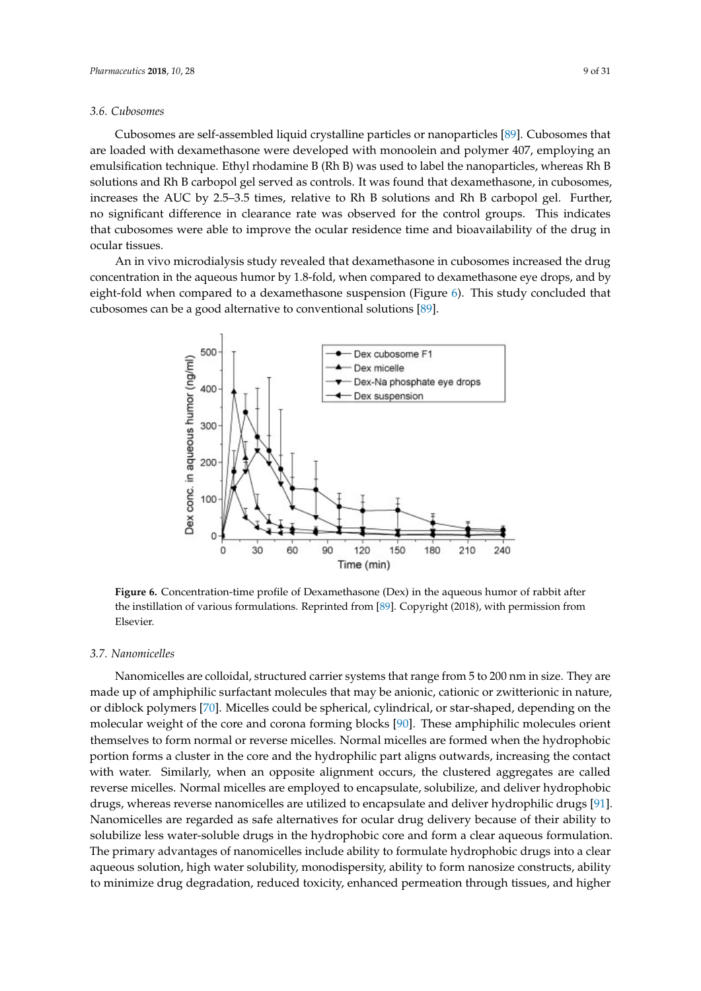## *3.6. Cubosomes*

Cubosomes are self-assembled liquid crystalline particles or nanoparticles [89]. Cubosomes that are loaded with dexamethasone were developed with monoolein and polymer 407, employing an emulsification technique. Ethyl rhodamine B (Rh B) was used to label the nanoparticles, whereas Rh B solutions and Rh B carbopol gel served as controls. It was found that dexamethasone, in cubosomes, increases the AUC by 2.5–3.5 times, relative to Rh B solutions and Rh B carbopol gel. Further, no significant difference in clearance rate was observed for the control groups. This indicates that cubosomes were able to improve the ocular residence time and bioavailability of the drug in ocular tissues.

An in vivo microdialysis study revealed that dexamethasone in cubosomes increased the drug concentration in the aqueous humor by 1.8-fold, when compared to dexamethasone eye drops, and by eight-fold when compared to a dexamethasone suspension (Figure 6). This study concluded that cubosomes can be a good alternative to conventional solutions [89].



**Figure 6.** Concentration-time profile of Dexamethasone (Dex) in the aqueous humor of rabbit after the instillation of various formulations. Reprinted from [89]. Copyright (2018), with permission from Elsevier.

## *3.7. Nanomicelles*

Nanomicelles are colloidal, structured carrier systems that range from 5 to 200 nm in size. They are made up of amphiphilic surfactant molecules that may be anionic, cationic or zwitterionic in nature, or diblock polymers [70]. Micelles could be spherical, cylindrical, or star-shaped, depending on the molecular weight of the core and corona forming blocks [90]. These amphiphilic molecules orient themselves to form normal or reverse micelles. Normal micelles are formed when the hydrophobic portion forms a cluster in the core and the hydrophilic part aligns outwards, increasing the contact with water. Similarly, when an opposite alignment occurs, the clustered aggregates are called reverse micelles. Normal micelles are employed to encapsulate, solubilize, and deliver hydrophobic drugs, whereas reverse nanomicelles are utilized to encapsulate and deliver hydrophilic drugs [91]. Nanomicelles are regarded as safe alternatives for ocular drug delivery because of their ability to solubilize less water-soluble drugs in the hydrophobic core and form a clear aqueous formulation. The primary advantages of nanomicelles include ability to formulate hydrophobic drugs into a clear aqueous solution, high water solubility, monodispersity, ability to form nanosize constructs, ability to minimize drug degradation, reduced toxicity, enhanced permeation through tissues, and higher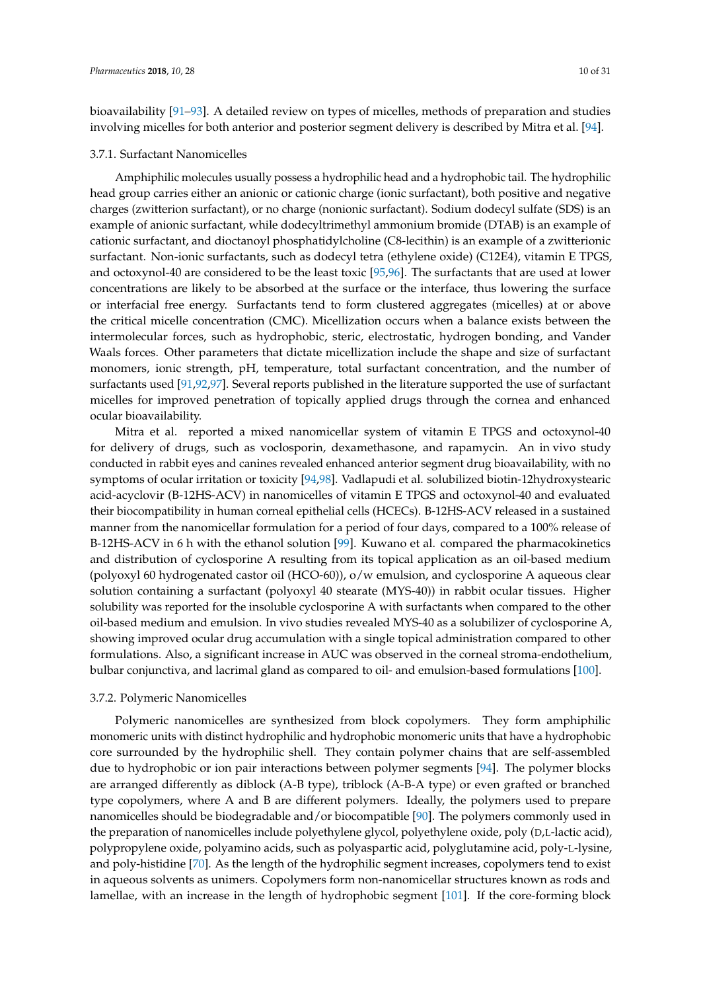bioavailability [91–93]. A detailed review on types of micelles, methods of preparation and studies

involving micelles for both anterior and posterior segment delivery is described by Mitra et al. [94].

## 3.7.1. Surfactant Nanomicelles

Amphiphilic molecules usually possess a hydrophilic head and a hydrophobic tail. The hydrophilic head group carries either an anionic or cationic charge (ionic surfactant), both positive and negative charges (zwitterion surfactant), or no charge (nonionic surfactant). Sodium dodecyl sulfate (SDS) is an example of anionic surfactant, while dodecyltrimethyl ammonium bromide (DTAB) is an example of cationic surfactant, and dioctanoyl phosphatidylcholine (C8-lecithin) is an example of a zwitterionic surfactant. Non-ionic surfactants, such as dodecyl tetra (ethylene oxide) (C12E4), vitamin E TPGS, and octoxynol-40 are considered to be the least toxic [95,96]. The surfactants that are used at lower concentrations are likely to be absorbed at the surface or the interface, thus lowering the surface or interfacial free energy. Surfactants tend to form clustered aggregates (micelles) at or above the critical micelle concentration (CMC). Micellization occurs when a balance exists between the intermolecular forces, such as hydrophobic, steric, electrostatic, hydrogen bonding, and Vander Waals forces. Other parameters that dictate micellization include the shape and size of surfactant monomers, ionic strength, pH, temperature, total surfactant concentration, and the number of surfactants used [91,92,97]. Several reports published in the literature supported the use of surfactant micelles for improved penetration of topically applied drugs through the cornea and enhanced ocular bioavailability.

Mitra et al. reported a mixed nanomicellar system of vitamin E TPGS and octoxynol-40 for delivery of drugs, such as voclosporin, dexamethasone, and rapamycin. An in vivo study conducted in rabbit eyes and canines revealed enhanced anterior segment drug bioavailability, with no symptoms of ocular irritation or toxicity [94,98]. Vadlapudi et al. solubilized biotin-12hydroxystearic acid-acyclovir (B-12HS-ACV) in nanomicelles of vitamin E TPGS and octoxynol-40 and evaluated their biocompatibility in human corneal epithelial cells (HCECs). B-12HS-ACV released in a sustained manner from the nanomicellar formulation for a period of four days, compared to a 100% release of B-12HS-ACV in 6 h with the ethanol solution [99]. Kuwano et al. compared the pharmacokinetics and distribution of cyclosporine A resulting from its topical application as an oil-based medium (polyoxyl 60 hydrogenated castor oil (HCO-60)), o/w emulsion, and cyclosporine A aqueous clear solution containing a surfactant (polyoxyl 40 stearate (MYS-40)) in rabbit ocular tissues. Higher solubility was reported for the insoluble cyclosporine A with surfactants when compared to the other oil-based medium and emulsion. In vivo studies revealed MYS-40 as a solubilizer of cyclosporine A, showing improved ocular drug accumulation with a single topical administration compared to other formulations. Also, a significant increase in AUC was observed in the corneal stroma-endothelium, bulbar conjunctiva, and lacrimal gland as compared to oil- and emulsion-based formulations [100].

## 3.7.2. Polymeric Nanomicelles

Polymeric nanomicelles are synthesized from block copolymers. They form amphiphilic monomeric units with distinct hydrophilic and hydrophobic monomeric units that have a hydrophobic core surrounded by the hydrophilic shell. They contain polymer chains that are self-assembled due to hydrophobic or ion pair interactions between polymer segments [94]. The polymer blocks are arranged differently as diblock (A-B type), triblock (A-B-A type) or even grafted or branched type copolymers, where A and B are different polymers. Ideally, the polymers used to prepare nanomicelles should be biodegradable and/or biocompatible [90]. The polymers commonly used in the preparation of nanomicelles include polyethylene glycol, polyethylene oxide, poly (D,L-lactic acid), polypropylene oxide, polyamino acids, such as polyaspartic acid, polyglutamine acid, poly-L-lysine, and poly-histidine [70]. As the length of the hydrophilic segment increases, copolymers tend to exist in aqueous solvents as unimers. Copolymers form non-nanomicellar structures known as rods and lamellae, with an increase in the length of hydrophobic segment [101]. If the core-forming block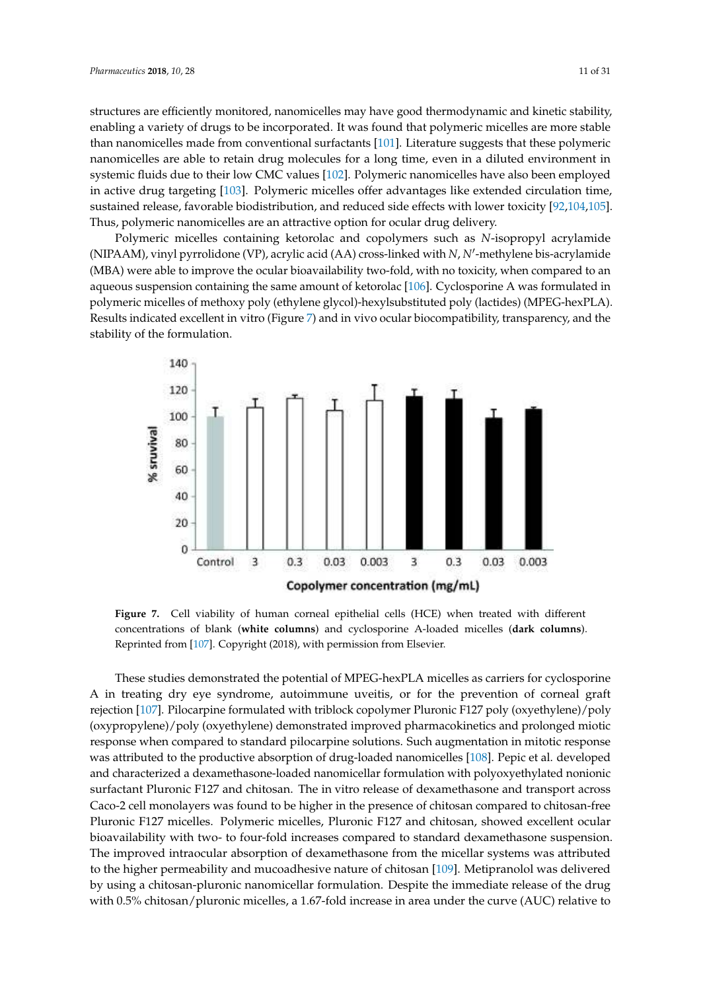structures are efficiently monitored, nanomicelles may have good thermodynamic and kinetic stability, enabling a variety of drugs to be incorporated. It was found that polymeric micelles are more stable than nanomicelles made from conventional surfactants [101]. Literature suggests that these polymeric nanomicelles are able to retain drug molecules for a long time, even in a diluted environment in systemic fluids due to their low CMC values [102]. Polymeric nanomicelles have also been employed in active drug targeting [103]. Polymeric micelles offer advantages like extended circulation time, sustained release, favorable biodistribution, and reduced side effects with lower toxicity [92,104,105]. Thus, polymeric nanomicelles are an attractive option for ocular drug delivery.

Polymeric micelles containing ketorolac and copolymers such as *N*-isopropyl acrylamide (NIPAAM), vinyl pyrrolidone (VP), acrylic acid (AA) cross-linked with *<sup>N</sup>*, *<sup>N</sup>*′ -methylene bis-acrylamide (MBA) were able to improve the ocular bioavailability two-fold, with no toxicity, when compared to an ′ aqueous suspension containing the same amount of ketorolac [106]. Cyclosporine A was formulated in polymeric micelles of methoxy poly (ethylene glycol)-hexylsubstituted poly (lactides) (MPEG-hexPLA). Results indicated excellent in vitro (Figure 7) and in vivo ocular biocompatibility, transparency, and the stability of the formulation.



**Figure 7.** Cell viability of human corneal epithelial cells (HCE) when treated with different concentrations of blank (**white columns**) and cyclosporine A-loaded micelles (**dark columns**). Reprinted from [107]. Copyright (2018), with permission from Elsevier.

These studies demonstrated the potential of MPEG-hexPLA micelles as carriers for cyclosporine A in treating dry eye syndrome, autoimmune uveitis, or for the prevention of corneal graft rejection [107]. Pilocarpine formulated with triblock copolymer Pluronic F127 poly (oxyethylene)/poly (oxypropylene)/poly (oxyethylene) demonstrated improved pharmacokinetics and prolonged miotic response when compared to standard pilocarpine solutions. Such augmentation in mitotic response was attributed to the productive absorption of drug-loaded nanomicelles [108]. Pepic et al. developed and characterized a dexamethasone-loaded nanomicellar formulation with polyoxyethylated nonionic surfactant Pluronic F127 and chitosan. The in vitro release of dexamethasone and transport across Caco-2 cell monolayers was found to be higher in the presence of chitosan compared to chitosan-free Pluronic F127 micelles. Polymeric micelles, Pluronic F127 and chitosan, showed excellent ocular bioavailability with two- to four-fold increases compared to standard dexamethasone suspension. The improved intraocular absorption of dexamethasone from the micellar systems was attributed to the higher permeability and mucoadhesive nature of chitosan [109]. Metipranolol was delivered by using a chitosan-pluronic nanomicellar formulation. Despite the immediate release of the drug with 0.5% chitosan/pluronic micelles, a 1.67-fold increase in area under the curve (AUC) relative to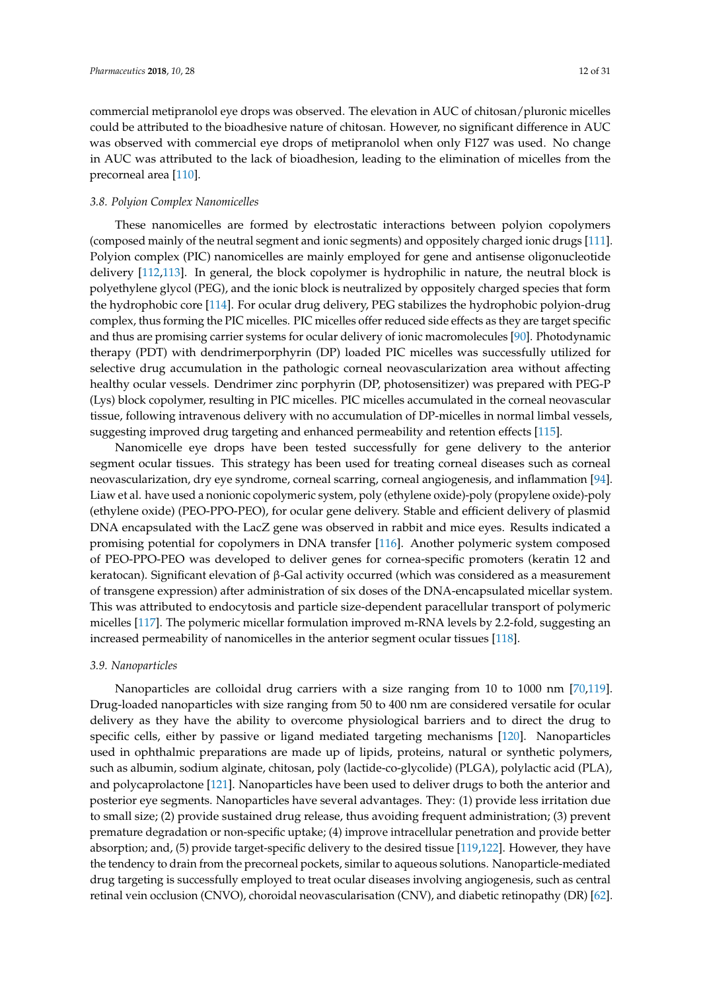commercial metipranolol eye drops was observed. The elevation in AUC of chitosan/pluronic micelles could be attributed to the bioadhesive nature of chitosan. However, no significant difference in AUC was observed with commercial eye drops of metipranolol when only F127 was used. No change in AUC was attributed to the lack of bioadhesion, leading to the elimination of micelles from the precorneal area [110].

## *3.8. Polyion Complex Nanomicelles*

These nanomicelles are formed by electrostatic interactions between polyion copolymers (composed mainly of the neutral segment and ionic segments) and oppositely charged ionic drugs [111]. Polyion complex (PIC) nanomicelles are mainly employed for gene and antisense oligonucleotide delivery [112,113]. In general, the block copolymer is hydrophilic in nature, the neutral block is polyethylene glycol (PEG), and the ionic block is neutralized by oppositely charged species that form the hydrophobic core [114]. For ocular drug delivery, PEG stabilizes the hydrophobic polyion-drug complex, thus forming the PIC micelles. PIC micelles offer reduced side effects as they are target specific and thus are promising carrier systems for ocular delivery of ionic macromolecules [90]. Photodynamic therapy (PDT) with dendrimerporphyrin (DP) loaded PIC micelles was successfully utilized for selective drug accumulation in the pathologic corneal neovascularization area without affecting healthy ocular vessels. Dendrimer zinc porphyrin (DP, photosensitizer) was prepared with PEG-P (Lys) block copolymer, resulting in PIC micelles. PIC micelles accumulated in the corneal neovascular tissue, following intravenous delivery with no accumulation of DP-micelles in normal limbal vessels, suggesting improved drug targeting and enhanced permeability and retention effects [115].

Nanomicelle eye drops have been tested successfully for gene delivery to the anterior segment ocular tissues. This strategy has been used for treating corneal diseases such as corneal neovascularization, dry eye syndrome, corneal scarring, corneal angiogenesis, and inflammation [94]. Liaw et al. have used a nonionic copolymeric system, poly (ethylene oxide)-poly (propylene oxide)-poly (ethylene oxide) (PEO-PPO-PEO), for ocular gene delivery. Stable and efficient delivery of plasmid DNA encapsulated with the LacZ gene was observed in rabbit and mice eyes. Results indicated a promising potential for copolymers in DNA transfer [116]. Another polymeric system composed of PEO-PPO-PEO was developed to deliver genes for cornea-specific promoters (keratin 12 and keratocan). Significant elevation of β-Gal activity occurred (which was considered as a measurement of transgene expression) after administration of six doses of the DNA-encapsulated micellar system. This was attributed to endocytosis and particle size-dependent paracellular transport of polymeric micelles [117]. The polymeric micellar formulation improved m-RNA levels by 2.2-fold, suggesting an increased permeability of nanomicelles in the anterior segment ocular tissues [118].

#### *3.9. Nanoparticles*

Nanoparticles are colloidal drug carriers with a size ranging from 10 to 1000 nm [70,119]. Drug-loaded nanoparticles with size ranging from 50 to 400 nm are considered versatile for ocular delivery as they have the ability to overcome physiological barriers and to direct the drug to specific cells, either by passive or ligand mediated targeting mechanisms [120]. Nanoparticles used in ophthalmic preparations are made up of lipids, proteins, natural or synthetic polymers, such as albumin, sodium alginate, chitosan, poly (lactide-co-glycolide) (PLGA), polylactic acid (PLA), and polycaprolactone [121]. Nanoparticles have been used to deliver drugs to both the anterior and posterior eye segments. Nanoparticles have several advantages. They: (1) provide less irritation due to small size; (2) provide sustained drug release, thus avoiding frequent administration; (3) prevent premature degradation or non-specific uptake; (4) improve intracellular penetration and provide better absorption; and, (5) provide target-specific delivery to the desired tissue [119,122]. However, they have the tendency to drain from the precorneal pockets, similar to aqueous solutions. Nanoparticle-mediated drug targeting is successfully employed to treat ocular diseases involving angiogenesis, such as central retinal vein occlusion (CNVO), choroidal neovascularisation (CNV), and diabetic retinopathy (DR) [62].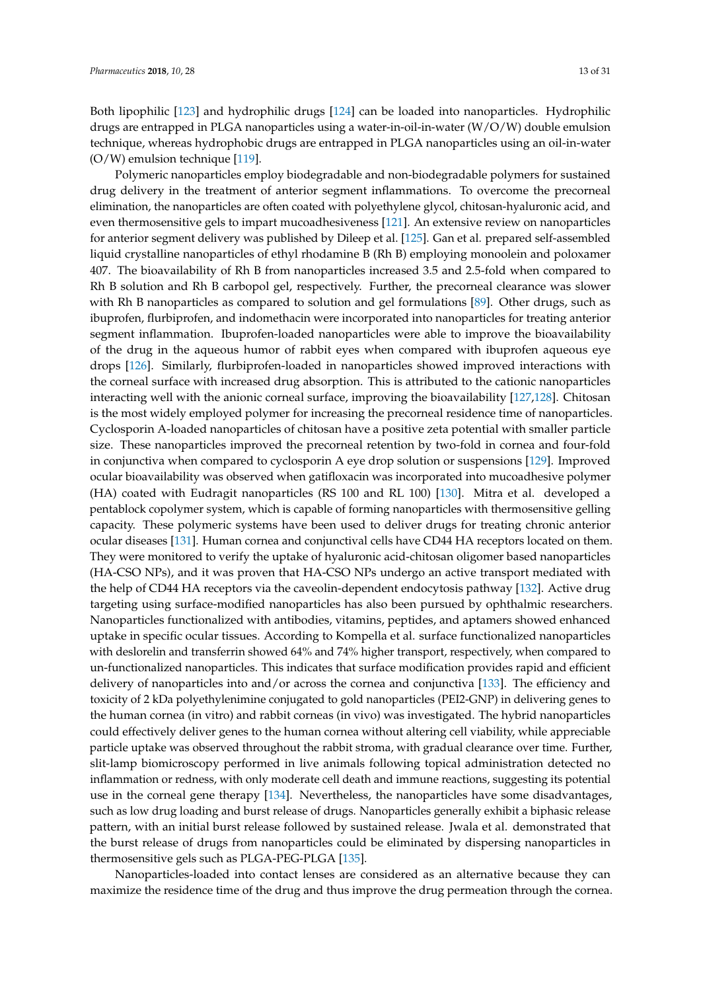Both lipophilic [123] and hydrophilic drugs [124] can be loaded into nanoparticles. Hydrophilic drugs are entrapped in PLGA nanoparticles using a water-in-oil-in-water (W/O/W) double emulsion technique, whereas hydrophobic drugs are entrapped in PLGA nanoparticles using an oil-in-water (O/W) emulsion technique [119].

Polymeric nanoparticles employ biodegradable and non-biodegradable polymers for sustained drug delivery in the treatment of anterior segment inflammations. To overcome the precorneal elimination, the nanoparticles are often coated with polyethylene glycol, chitosan-hyaluronic acid, and even thermosensitive gels to impart mucoadhesiveness [121]. An extensive review on nanoparticles for anterior segment delivery was published by Dileep et al. [125]. Gan et al. prepared self-assembled liquid crystalline nanoparticles of ethyl rhodamine B (Rh B) employing monoolein and poloxamer 407. The bioavailability of Rh B from nanoparticles increased 3.5 and 2.5-fold when compared to Rh B solution and Rh B carbopol gel, respectively. Further, the precorneal clearance was slower with Rh B nanoparticles as compared to solution and gel formulations [89]. Other drugs, such as ibuprofen, flurbiprofen, and indomethacin were incorporated into nanoparticles for treating anterior segment inflammation. Ibuprofen-loaded nanoparticles were able to improve the bioavailability of the drug in the aqueous humor of rabbit eyes when compared with ibuprofen aqueous eye drops [126]. Similarly, flurbiprofen-loaded in nanoparticles showed improved interactions with the corneal surface with increased drug absorption. This is attributed to the cationic nanoparticles interacting well with the anionic corneal surface, improving the bioavailability [127,128]. Chitosan is the most widely employed polymer for increasing the precorneal residence time of nanoparticles. Cyclosporin A-loaded nanoparticles of chitosan have a positive zeta potential with smaller particle size. These nanoparticles improved the precorneal retention by two-fold in cornea and four-fold in conjunctiva when compared to cyclosporin A eye drop solution or suspensions [129]. Improved ocular bioavailability was observed when gatifloxacin was incorporated into mucoadhesive polymer (HA) coated with Eudragit nanoparticles (RS 100 and RL 100) [130]. Mitra et al. developed a pentablock copolymer system, which is capable of forming nanoparticles with thermosensitive gelling capacity. These polymeric systems have been used to deliver drugs for treating chronic anterior ocular diseases [131]. Human cornea and conjunctival cells have CD44 HA receptors located on them. They were monitored to verify the uptake of hyaluronic acid-chitosan oligomer based nanoparticles (HA-CSO NPs), and it was proven that HA-CSO NPs undergo an active transport mediated with the help of CD44 HA receptors via the caveolin-dependent endocytosis pathway [132]. Active drug targeting using surface-modified nanoparticles has also been pursued by ophthalmic researchers. Nanoparticles functionalized with antibodies, vitamins, peptides, and aptamers showed enhanced uptake in specific ocular tissues. According to Kompella et al. surface functionalized nanoparticles with deslorelin and transferrin showed 64% and 74% higher transport, respectively, when compared to un-functionalized nanoparticles. This indicates that surface modification provides rapid and efficient delivery of nanoparticles into and/or across the cornea and conjunctiva [133]. The efficiency and toxicity of 2 kDa polyethylenimine conjugated to gold nanoparticles (PEI2-GNP) in delivering genes to the human cornea (in vitro) and rabbit corneas (in vivo) was investigated. The hybrid nanoparticles could effectively deliver genes to the human cornea without altering cell viability, while appreciable particle uptake was observed throughout the rabbit stroma, with gradual clearance over time. Further, slit-lamp biomicroscopy performed in live animals following topical administration detected no inflammation or redness, with only moderate cell death and immune reactions, suggesting its potential use in the corneal gene therapy [134]. Nevertheless, the nanoparticles have some disadvantages, such as low drug loading and burst release of drugs. Nanoparticles generally exhibit a biphasic release pattern, with an initial burst release followed by sustained release. Jwala et al. demonstrated that the burst release of drugs from nanoparticles could be eliminated by dispersing nanoparticles in thermosensitive gels such as PLGA-PEG-PLGA [135].

Nanoparticles-loaded into contact lenses are considered as an alternative because they can maximize the residence time of the drug and thus improve the drug permeation through the cornea.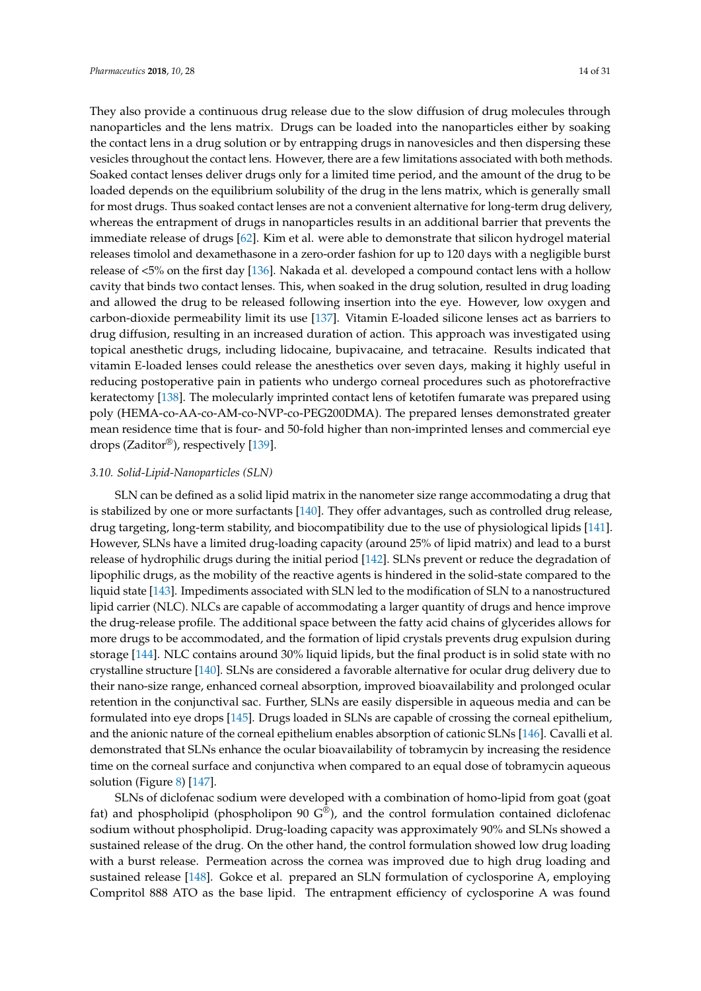They also provide a continuous drug release due to the slow diffusion of drug molecules through nanoparticles and the lens matrix. Drugs can be loaded into the nanoparticles either by soaking the contact lens in a drug solution or by entrapping drugs in nanovesicles and then dispersing these vesicles throughout the contact lens. However, there are a few limitations associated with both methods. Soaked contact lenses deliver drugs only for a limited time period, and the amount of the drug to be loaded depends on the equilibrium solubility of the drug in the lens matrix, which is generally small for most drugs. Thus soaked contact lenses are not a convenient alternative for long-term drug delivery, whereas the entrapment of drugs in nanoparticles results in an additional barrier that prevents the immediate release of drugs [62]. Kim et al. were able to demonstrate that silicon hydrogel material releases timolol and dexamethasone in a zero-order fashion for up to 120 days with a negligible burst release of <5% on the first day [136]. Nakada et al. developed a compound contact lens with a hollow cavity that binds two contact lenses. This, when soaked in the drug solution, resulted in drug loading and allowed the drug to be released following insertion into the eye. However, low oxygen and carbon-dioxide permeability limit its use [137]. Vitamin E-loaded silicone lenses act as barriers to drug diffusion, resulting in an increased duration of action. This approach was investigated using topical anesthetic drugs, including lidocaine, bupivacaine, and tetracaine. Results indicated that vitamin E-loaded lenses could release the anesthetics over seven days, making it highly useful in reducing postoperative pain in patients who undergo corneal procedures such as photorefractive keratectomy [138]. The molecularly imprinted contact lens of ketotifen fumarate was prepared using poly (HEMA-co-AA-co-AM-co-NVP-co-PEG200DMA). The prepared lenses demonstrated greater mean residence time that is four- and 50-fold higher than non-imprinted lenses and commercial eye drops (Zaditor®), respectively [139].

#### *3.10. Solid-Lipid-Nanoparticles (SLN)*

SLN can be defined as a solid lipid matrix in the nanometer size range accommodating a drug that is stabilized by one or more surfactants [140]. They offer advantages, such as controlled drug release, drug targeting, long-term stability, and biocompatibility due to the use of physiological lipids [141]. However, SLNs have a limited drug-loading capacity (around 25% of lipid matrix) and lead to a burst release of hydrophilic drugs during the initial period [142]. SLNs prevent or reduce the degradation of lipophilic drugs, as the mobility of the reactive agents is hindered in the solid-state compared to the liquid state [143]. Impediments associated with SLN led to the modification of SLN to a nanostructured lipid carrier (NLC). NLCs are capable of accommodating a larger quantity of drugs and hence improve the drug-release profile. The additional space between the fatty acid chains of glycerides allows for more drugs to be accommodated, and the formation of lipid crystals prevents drug expulsion during storage [144]. NLC contains around 30% liquid lipids, but the final product is in solid state with no crystalline structure [140]. SLNs are considered a favorable alternative for ocular drug delivery due to their nano-size range, enhanced corneal absorption, improved bioavailability and prolonged ocular retention in the conjunctival sac. Further, SLNs are easily dispersible in aqueous media and can be formulated into eye drops [145]. Drugs loaded in SLNs are capable of crossing the corneal epithelium, and the anionic nature of the corneal epithelium enables absorption of cationic SLNs [146]. Cavalli et al. demonstrated that SLNs enhance the ocular bioavailability of tobramycin by increasing the residence time on the corneal surface and conjunctiva when compared to an equal dose of tobramycin aqueous solution (Figure 8) [147].

SLNs of diclofenac sodium were developed with a combination of homo-lipid from goat (goat fat) and phospholipid (phospholipon 90  $G^{\circledast}$ ), and the control formulation contained diclofenac sodium without phospholipid. Drug-loading capacity was approximately 90% and SLNs showed a sustained release of the drug. On the other hand, the control formulation showed low drug loading with a burst release. Permeation across the cornea was improved due to high drug loading and sustained release [148]. Gokce et al. prepared an SLN formulation of cyclosporine A, employing Compritol 888 ATO as the base lipid. The entrapment efficiency of cyclosporine A was found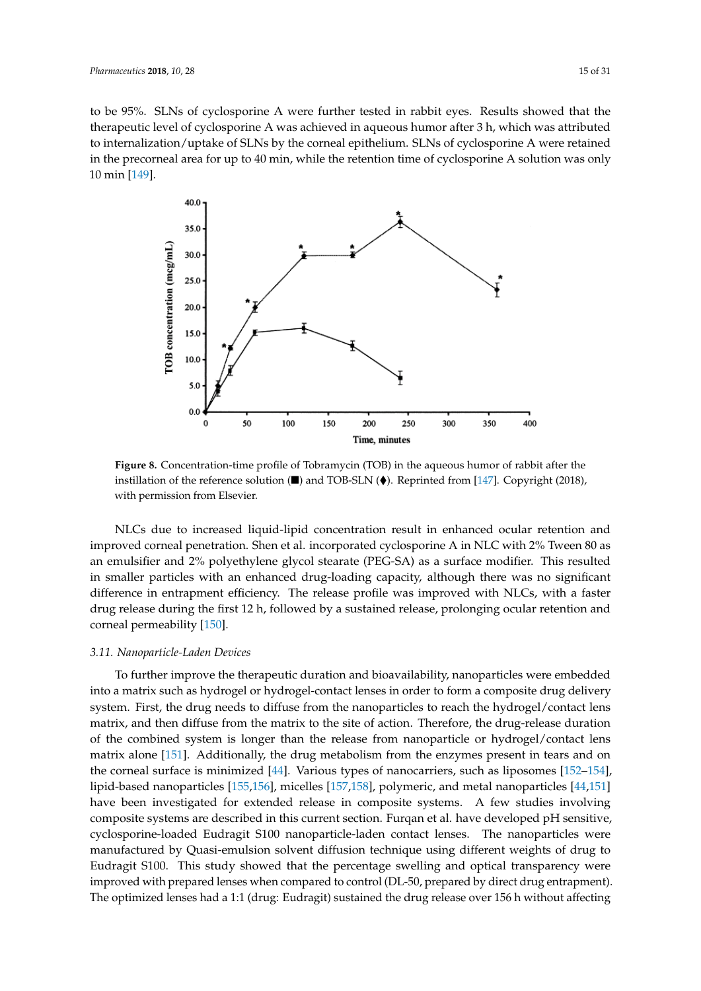to be 95%. SLNs of cyclosporine A were further tested in rabbit eyes. Results showed that the therapeutic level of cyclosporine A was achieved in aqueous humor after 3 h, which was attributed to internalization/uptake of SLNs by the corneal epithelium. SLNs of cyclosporine A were retained in the precorneal area for up to 40 min, while the retention time of cyclosporine A solution was only 10 min [149].



■ ♦ **Figure 8.** Concentration-time profile of Tobramycin (TOB) in the aqueous humor of rabbit after the instillation of the reference solution  $(\blacksquare)$  and TOB-SLN  $(\lozenge)$ . Reprinted from [147]. Copyright (2018), with permission from Elsevier.

NLCs due to increased liquid-lipid concentration result in enhanced ocular retention and improved corneal penetration. Shen et al. incorporated cyclosporine A in NLC with 2% Tween 80 as an emulsifier and 2% polyethylene glycol stearate (PEG-SA) as a surface modifier. This resulted in smaller particles with an enhanced drug-loading capacity, although there was no significant difference in entrapment efficiency. The release profile was improved with NLCs, with a faster drug release during the first 12 h, followed by a sustained release, prolonging ocular retention and corneal permeability [150].

#### *3.11. Nanoparticle-Laden Devices*

To further improve the therapeutic duration and bioavailability, nanoparticles were embedded into a matrix such as hydrogel or hydrogel-contact lenses in order to form a composite drug delivery system. First, the drug needs to diffuse from the nanoparticles to reach the hydrogel/contact lens matrix, and then diffuse from the matrix to the site of action. Therefore, the drug-release duration of the combined system is longer than the release from nanoparticle or hydrogel/contact lens matrix alone [151]. Additionally, the drug metabolism from the enzymes present in tears and on the corneal surface is minimized [44]. Various types of nanocarriers, such as liposomes [152–154], lipid-based nanoparticles [155,156], micelles [157,158], polymeric, and metal nanoparticles [44,151] have been investigated for extended release in composite systems. A few studies involving composite systems are described in this current section. Furqan et al. have developed pH sensitive, cyclosporine-loaded Eudragit S100 nanoparticle-laden contact lenses. The nanoparticles were manufactured by Quasi-emulsion solvent diffusion technique using different weights of drug to Eudragit S100. This study showed that the percentage swelling and optical transparency were improved with prepared lenses when compared to control (DL-50, prepared by direct drug entrapment). The optimized lenses had a 1:1 (drug: Eudragit) sustained the drug release over 156 h without affecting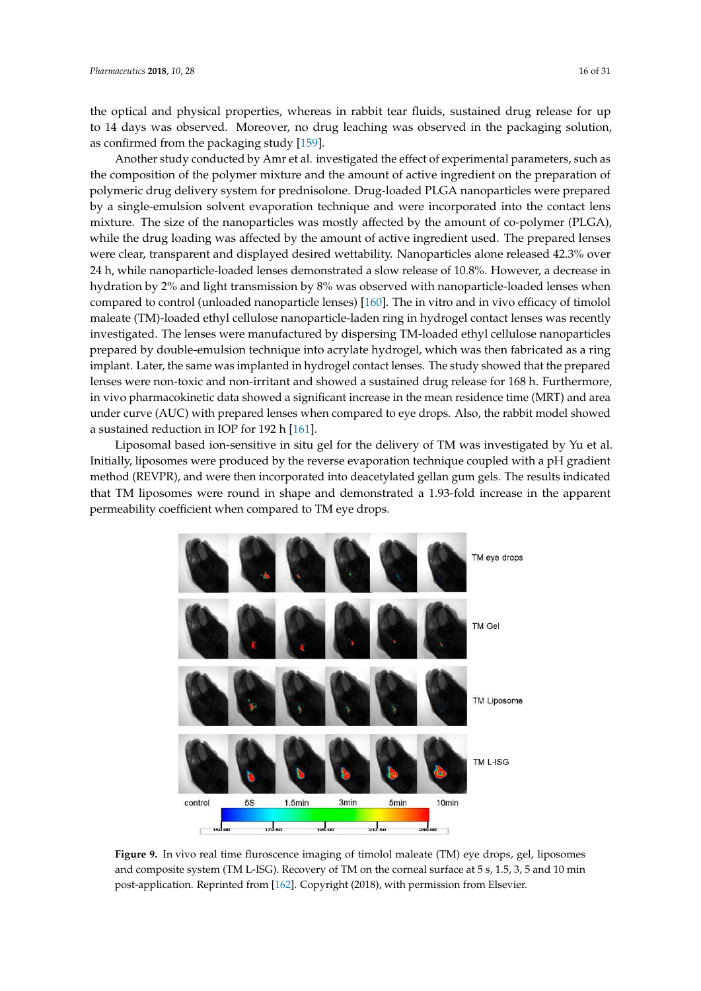the optical and physical properties, whereas in rabbit tear fluids, sustained drug release for up to 14 days was observed. Moreover, no drug leaching was observed in the packaging solution, as confirmed from the packaging study [159].

Another study conducted by Amr et al. investigated the effect of experimental parameters, such as the composition of the polymer mixture and the amount of active ingredient on the preparation of polymeric drug delivery system for prednisolone. Drug-loaded PLGA nanoparticles were prepared by a single-emulsion solvent evaporation technique and were incorporated into the contact lens mixture. The size of the nanoparticles was mostly affected by the amount of co-polymer (PLGA), while the drug loading was affected by the amount of active ingredient used. The prepared lenses were clear, transparent and displayed desired wettability. Nanoparticles alone released 42.3% over 24 h, while nanoparticle-loaded lenses demonstrated a slow release of 10.8%. However, a decrease in hydration by 2% and light transmission by 8% was observed with nanoparticle-loaded lenses when compared to control (unloaded nanoparticle lenses) [160]. The in vitro and in vivo efficacy of timolol maleate (TM)-loaded ethyl cellulose nanoparticle-laden ring in hydrogel contact lenses was recently investigated. The lenses were manufactured by dispersing TM-loaded ethyl cellulose nanoparticles prepared by double-emulsion technique into acrylate hydrogel, which was then fabricated as a ring implant. Later, the same was implanted in hydrogel contact lenses. The study showed that the prepared lenses were non-toxic and non-irritant and showed a sustained drug release for 168 h. Furthermore, in vivo pharmacokinetic data showed a significant increase in the mean residence time (MRT) and area under curve (AUC) with prepared lenses when compared to eye drops. Also, the rabbit model showed a sustained reduction in IOP for 192 h [161].

Liposomal based ion-sensitive in situ gel for the delivery of TM was investigated by Yu et al. Initially, liposomes were produced by the reverse evaporation technique coupled with a pH gradient method (REVPR), and were then incorporated into deacetylated gellan gum gels. The results indicated that TM liposomes were round in shape and demonstrated a 1.93-fold increase in the apparent permeability coefficient when compared to TM eye drops.



**Figure 9.** In vivo real time fluroscence imaging of timolol maleate (TM) eye drops, gel, liposomes and composite system (TM L-ISG). Recovery of TM on the corneal surface at 5 s, 1.5, 3, 5 and 10 min post-application. Reprinted from [162]. Copyright (2018), with permission from Elsevier.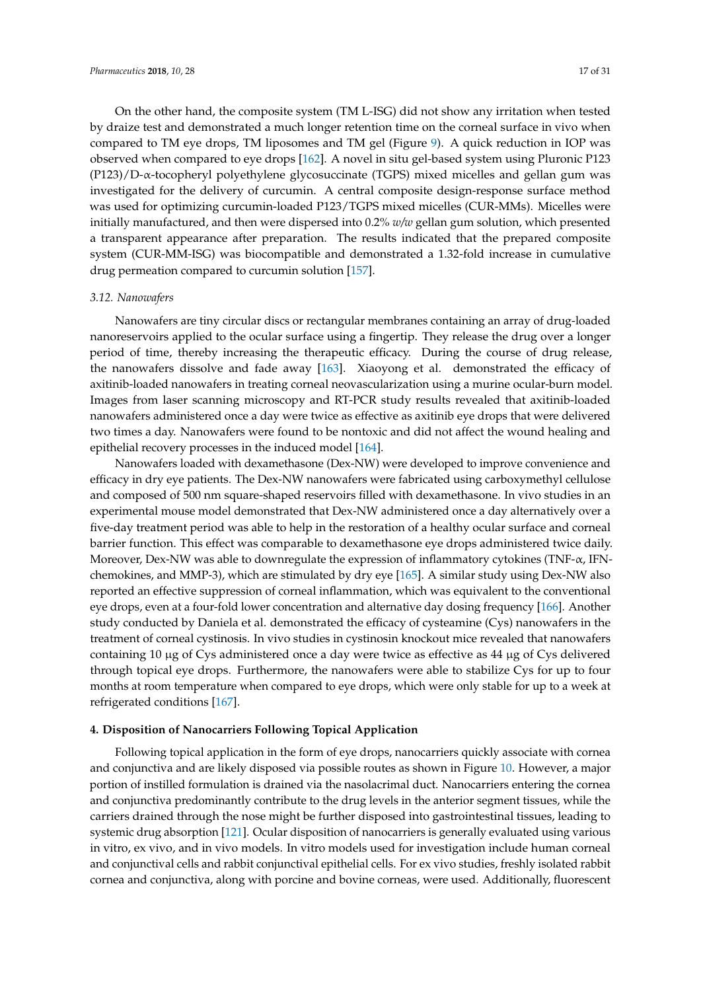On the other hand, the composite system (TM L-ISG) did not show any irritation when tested by draize test and demonstrated a much longer retention time on the corneal surface in vivo when compared to TM eye drops, TM liposomes and TM gel (Figure 9). A quick reduction in IOP was observed when compared to eye drops [162]. A novel in situ gel-based system using Pluronic P123 (P123)/D-α-tocopheryl polyethylene glycosuccinate (TGPS) mixed micelles and gellan gum was investigated for the delivery of curcumin. A central composite design-response surface method was used for optimizing curcumin-loaded P123/TGPS mixed micelles (CUR-MMs). Micelles were initially manufactured, and then were dispersed into 0.2% *w/w* gellan gum solution, which presented a transparent appearance after preparation. The results indicated that the prepared composite system (CUR-MM-ISG) was biocompatible and demonstrated a 1.32-fold increase in cumulative drug permeation compared to curcumin solution [157].

#### *3.12. Nanowafers*

Nanowafers are tiny circular discs or rectangular membranes containing an array of drug-loaded nanoreservoirs applied to the ocular surface using a fingertip. They release the drug over a longer period of time, thereby increasing the therapeutic efficacy. During the course of drug release, the nanowafers dissolve and fade away [163]. Xiaoyong et al. demonstrated the efficacy of axitinib-loaded nanowafers in treating corneal neovascularization using a murine ocular-burn model. Images from laser scanning microscopy and RT-PCR study results revealed that axitinib-loaded nanowafers administered once a day were twice as effective as axitinib eye drops that were delivered two times a day. Nanowafers were found to be nontoxic and did not affect the wound healing and epithelial recovery processes in the induced model [164].

Nanowafers loaded with dexamethasone (Dex-NW) were developed to improve convenience and efficacy in dry eye patients. The Dex-NW nanowafers were fabricated using carboxymethyl cellulose and composed of 500 nm square-shaped reservoirs filled with dexamethasone. In vivo studies in an experimental mouse model demonstrated that Dex-NW administered once a day alternatively over a five-day treatment period was able to help in the restoration of a healthy ocular surface and corneal barrier function. This effect was comparable to dexamethasone eye drops administered twice daily. Moreover, Dex-NW was able to downregulate the expression of inflammatory cytokines (TNF-α, IFNchemokines, and MMP-3), which are stimulated by dry eye [165]. A similar study using Dex-NW also reported an effective suppression of corneal inflammation, which was equivalent to the conventional eye drops, even at a four-fold lower concentration and alternative day dosing frequency [166]. Another study conducted by Daniela et al. demonstrated the efficacy of cysteamine (Cys) nanowafers in the treatment of corneal cystinosis. In vivo studies in cystinosin knockout mice revealed that nanowafers containing 10 µg of Cys administered once a day were twice as effective as 44 µg of Cys delivered through topical eye drops. Furthermore, the nanowafers were able to stabilize Cys for up to four months at room temperature when compared to eye drops, which were only stable for up to a week at refrigerated conditions [167].

## **4. Disposition of Nanocarriers Following Topical Application**

Following topical application in the form of eye drops, nanocarriers quickly associate with cornea and conjunctiva and are likely disposed via possible routes as shown in Figure 10. However, a major portion of instilled formulation is drained via the nasolacrimal duct. Nanocarriers entering the cornea and conjunctiva predominantly contribute to the drug levels in the anterior segment tissues, while the carriers drained through the nose might be further disposed into gastrointestinal tissues, leading to systemic drug absorption [121]. Ocular disposition of nanocarriers is generally evaluated using various in vitro, ex vivo, and in vivo models. In vitro models used for investigation include human corneal and conjunctival cells and rabbit conjunctival epithelial cells. For ex vivo studies, freshly isolated rabbit cornea and conjunctiva, along with porcine and bovine corneas, were used. Additionally, fluorescent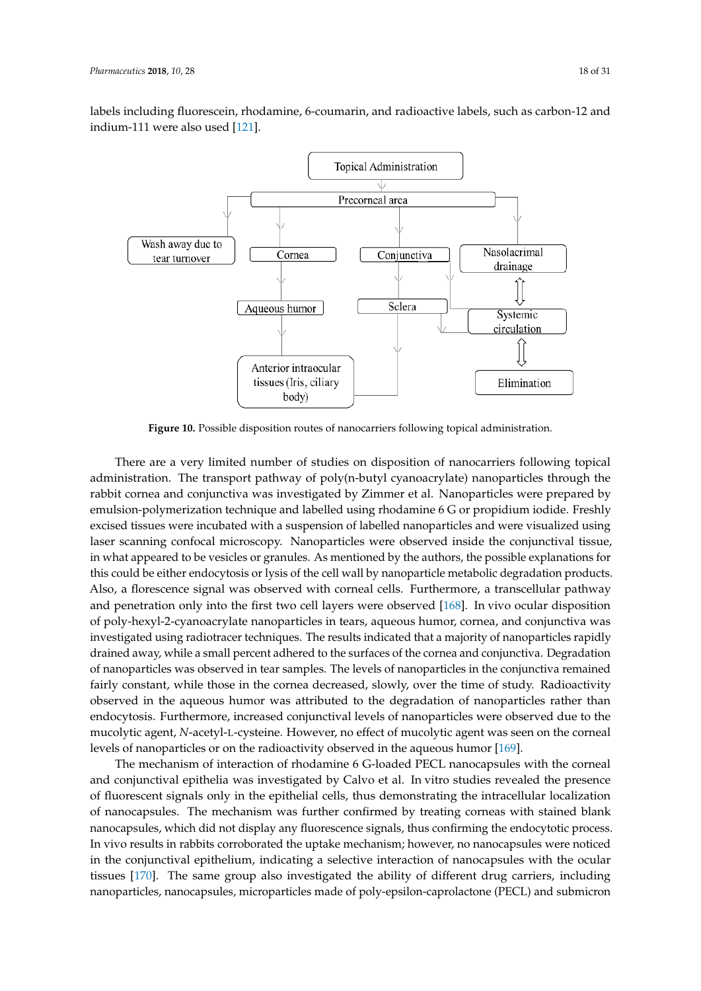labels including fluorescein, rhodamine, 6-coumarin, and radioactive labels, such as carbon-12 and indium-111 were also used [121].



**Figure 10.** Possible disposition routes of nanocarriers following topical administration.

There are a very limited number of studies on disposition of nanocarriers following topical administration. The transport pathway of poly(n-butyl cyanoacrylate) nanoparticles through the rabbit cornea and conjunctiva was investigated by Zimmer et al. Nanoparticles were prepared by emulsion-polymerization technique and labelled using rhodamine 6 G or propidium iodide. Freshly excised tissues were incubated with a suspension of labelled nanoparticles and were visualized using laser scanning confocal microscopy. Nanoparticles were observed inside the conjunctival tissue, in what appeared to be vesicles or granules. As mentioned by the authors, the possible explanations for this could be either endocytosis or lysis of the cell wall by nanoparticle metabolic degradation products. Also, a florescence signal was observed with corneal cells. Furthermore, a transcellular pathway and penetration only into the first two cell layers were observed [168]. In vivo ocular disposition of poly-hexyl-2-cyanoacrylate nanoparticles in tears, aqueous humor, cornea, and conjunctiva was investigated using radiotracer techniques. The results indicated that a majority of nanoparticles rapidly drained away, while a small percent adhered to the surfaces of the cornea and conjunctiva. Degradation of nanoparticles was observed in tear samples. The levels of nanoparticles in the conjunctiva remained fairly constant, while those in the cornea decreased, slowly, over the time of study. Radioactivity observed in the aqueous humor was attributed to the degradation of nanoparticles rather than endocytosis. Furthermore, increased conjunctival levels of nanoparticles were observed due to the mucolytic agent, *N*-acetyl-L-cysteine. However, no effect of mucolytic agent was seen on the corneal levels of nanoparticles or on the radioactivity observed in the aqueous humor [169].

The mechanism of interaction of rhodamine 6 G-loaded PECL nanocapsules with the corneal and conjunctival epithelia was investigated by Calvo et al. In vitro studies revealed the presence of fluorescent signals only in the epithelial cells, thus demonstrating the intracellular localization of nanocapsules. The mechanism was further confirmed by treating corneas with stained blank nanocapsules, which did not display any fluorescence signals, thus confirming the endocytotic process. In vivo results in rabbits corroborated the uptake mechanism; however, no nanocapsules were noticed in the conjunctival epithelium, indicating a selective interaction of nanocapsules with the ocular tissues [170]. The same group also investigated the ability of different drug carriers, including nanoparticles, nanocapsules, microparticles made of poly-epsilon-caprolactone (PECL) and submicron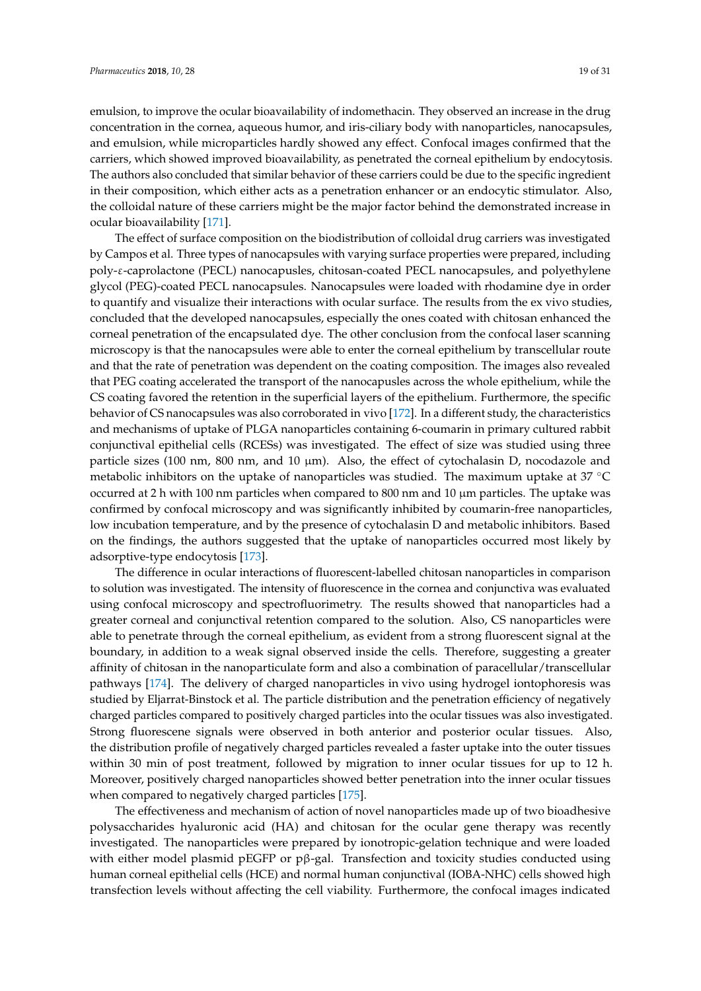emulsion, to improve the ocular bioavailability of indomethacin. They observed an increase in the drug concentration in the cornea, aqueous humor, and iris-ciliary body with nanoparticles, nanocapsules, and emulsion, while microparticles hardly showed any effect. Confocal images confirmed that the carriers, which showed improved bioavailability, as penetrated the corneal epithelium by endocytosis. The authors also concluded that similar behavior of these carriers could be due to the specific ingredient in their composition, which either acts as a penetration enhancer or an endocytic stimulator. Also, the colloidal nature of these carriers might be the major factor behind the demonstrated increase in ocular bioavailability [171].

The effect of surface composition on the biodistribution of colloidal drug carriers was investigated by Campos et al. Three types of nanocapsules with varying surface properties were prepared, including poly-ε-caprolactone (PECL) nanocapusles, chitosan-coated PECL nanocapsules, and polyethylene glycol (PEG)-coated PECL nanocapsules. Nanocapsules were loaded with rhodamine dye in order to quantify and visualize their interactions with ocular surface. The results from the ex vivo studies, concluded that the developed nanocapsules, especially the ones coated with chitosan enhanced the corneal penetration of the encapsulated dye. The other conclusion from the confocal laser scanning microscopy is that the nanocapsules were able to enter the corneal epithelium by transcellular route and that the rate of penetration was dependent on the coating composition. The images also revealed that PEG coating accelerated the transport of the nanocapusles across the whole epithelium, while the CS coating favored the retention in the superficial layers of the epithelium. Furthermore, the specific behavior of CS nanocapsules was also corroborated in vivo [172]. In a different study, the characteristics and mechanisms of uptake of PLGA nanoparticles containing 6-coumarin in primary cultured rabbit conjunctival epithelial cells (RCESs) was investigated. The effect of size was studied using three particle sizes (100 nm, 800 nm, and 10  $\mu$ m). Also, the effect of cytochalasin D, nocodazole and metabolic inhibitors on the uptake of nanoparticles was studied. The maximum uptake at 37 ◦C occurred at 2 h with 100 nm particles when compared to 800 nm and 10  $\mu$ m particles. The uptake was confirmed by confocal microscopy and was significantly inhibited by coumarin-free nanoparticles, low incubation temperature, and by the presence of cytochalasin D and metabolic inhibitors. Based on the findings, the authors suggested that the uptake of nanoparticles occurred most likely by adsorptive-type endocytosis [173].

The difference in ocular interactions of fluorescent-labelled chitosan nanoparticles in comparison to solution was investigated. The intensity of fluorescence in the cornea and conjunctiva was evaluated using confocal microscopy and spectrofluorimetry. The results showed that nanoparticles had a greater corneal and conjunctival retention compared to the solution. Also, CS nanoparticles were able to penetrate through the corneal epithelium, as evident from a strong fluorescent signal at the boundary, in addition to a weak signal observed inside the cells. Therefore, suggesting a greater affinity of chitosan in the nanoparticulate form and also a combination of paracellular/transcellular pathways [174]. The delivery of charged nanoparticles in vivo using hydrogel iontophoresis was studied by Eljarrat-Binstock et al. The particle distribution and the penetration efficiency of negatively charged particles compared to positively charged particles into the ocular tissues was also investigated. Strong fluorescene signals were observed in both anterior and posterior ocular tissues. Also, the distribution profile of negatively charged particles revealed a faster uptake into the outer tissues within 30 min of post treatment, followed by migration to inner ocular tissues for up to 12 h. Moreover, positively charged nanoparticles showed better penetration into the inner ocular tissues when compared to negatively charged particles [175].

The effectiveness and mechanism of action of novel nanoparticles made up of two bioadhesive polysaccharides hyaluronic acid (HA) and chitosan for the ocular gene therapy was recently investigated. The nanoparticles were prepared by ionotropic-gelation technique and were loaded with either model plasmid pEGFP or pβ-gal. Transfection and toxicity studies conducted using human corneal epithelial cells (HCE) and normal human conjunctival (IOBA-NHC) cells showed high transfection levels without affecting the cell viability. Furthermore, the confocal images indicated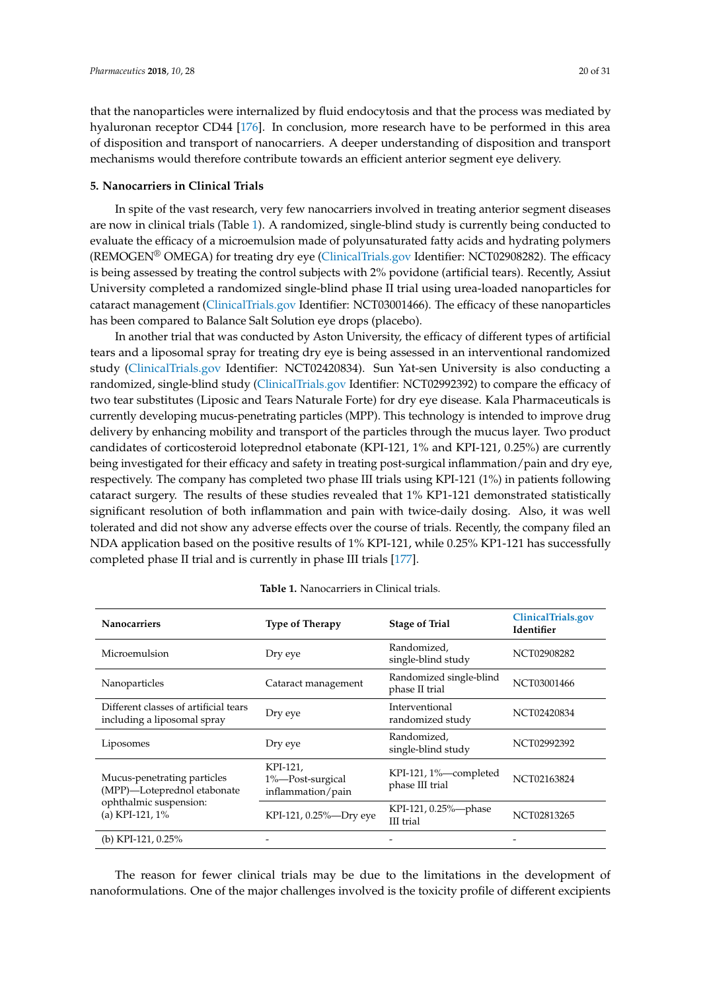that the nanoparticles were internalized by fluid endocytosis and that the process was mediated by hyaluronan receptor CD44 [176]. In conclusion, more research have to be performed in this area of disposition and transport of nanocarriers. A deeper understanding of disposition and transport mechanisms would therefore contribute towards an efficient anterior segment eye delivery.

## **5. Nanocarriers in Clinical Trials**

In spite of the vast research, very few nanocarriers involved in treating anterior segment diseases are now in clinical trials (Table 1). A randomized, single-blind study is currently being conducted to evaluate the efficacy of a microemulsion made of polyunsaturated fatty acids and hydrating polymers (REMOGEN® OMEGA) for treating dry eye (ClinicalTrials.gov Identifier: NCT02908282). The efficacy is being assessed by treating the control subjects with 2% povidone (artificial tears). Recently, Assiut University completed a randomized single-blind phase II trial using urea-loaded nanoparticles for cataract management (ClinicalTrials.gov Identifier: NCT03001466). The efficacy of these nanoparticles has been compared to Balance Salt Solution eye drops (placebo).

In another trial that was conducted by Aston University, the efficacy of different types of artificial tears and a liposomal spray for treating dry eye is being assessed in an interventional randomized study (ClinicalTrials.gov Identifier: NCT02420834). Sun Yat-sen University is also conducting a randomized, single-blind study (ClinicalTrials.gov Identifier: NCT02992392) to compare the efficacy of two tear substitutes (Liposic and Tears Naturale Forte) for dry eye disease. Kala Pharmaceuticals is currently developing mucus-penetrating particles (MPP). This technology is intended to improve drug delivery by enhancing mobility and transport of the particles through the mucus layer. Two product candidates of corticosteroid loteprednol etabonate (KPI-121, 1% and KPI-121, 0.25%) are currently being investigated for their efficacy and safety in treating post-surgical inflammation/pain and dry eye, respectively. The company has completed two phase III trials using KPI-121 (1%) in patients following cataract surgery. The results of these studies revealed that 1% KP1-121 demonstrated statistically significant resolution of both inflammation and pain with twice-daily dosing. Also, it was well tolerated and did not show any adverse effects over the course of trials. Recently, the company filed an NDA application based on the positive results of 1% KPI-121, while 0.25% KP1-121 has successfully completed phase II trial and is currently in phase III trials [177].

| <b>Nanocarriers</b>                                                                                     | <b>Type of Therapy</b>                            | <b>Stage of Trial</b>                     | ClinicalTrials.gov<br>Identifier |
|---------------------------------------------------------------------------------------------------------|---------------------------------------------------|-------------------------------------------|----------------------------------|
| Microemulsion                                                                                           | Dry eye                                           | Randomized,<br>single-blind study         | NCT02908282                      |
| Nanoparticles                                                                                           | Cataract management                               | Randomized single-blind<br>phase II trial | NCT03001466                      |
| Different classes of artificial tears<br>including a liposomal spray                                    | Dry eye                                           | Interventional<br>randomized study        | NCT02420834                      |
| Liposomes                                                                                               | Dry eye                                           | Randomized,<br>single-blind study         | NCT02992392                      |
| Mucus-penetrating particles<br>(MPP)-Loteprednol etabonate<br>ophthalmic suspension:<br>(a) KPI-121, 1% | KPI-121,<br>1%-Post-surgical<br>inflammation/pain | KPI-121, 1%—completed<br>phase III trial  | NCT02163824                      |
|                                                                                                         | KPI-121, 0.25%-Dry eye                            | KPI-121, 0.25%-phase<br>III trial         | NCT02813265                      |
| (b) KPI-121, $0.25\%$                                                                                   |                                                   |                                           |                                  |

**Table 1.** Nanocarriers in Clinical trials.

The reason for fewer clinical trials may be due to the limitations in the development of nanoformulations. One of the major challenges involved is the toxicity profile of different excipients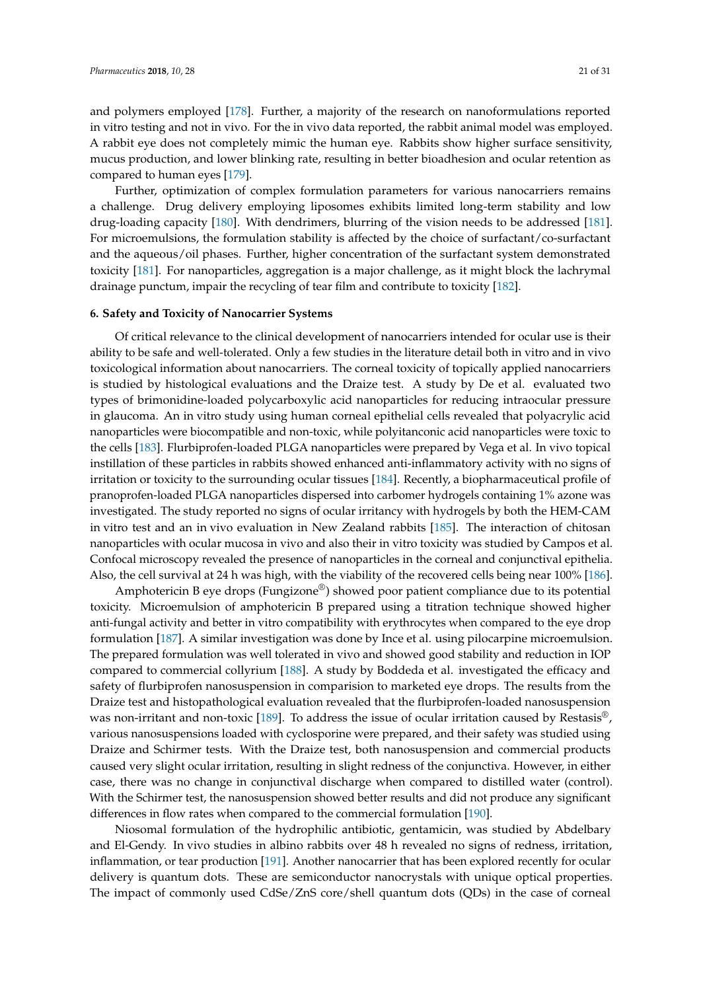and polymers employed [178]. Further, a majority of the research on nanoformulations reported in vitro testing and not in vivo. For the in vivo data reported, the rabbit animal model was employed. A rabbit eye does not completely mimic the human eye. Rabbits show higher surface sensitivity, mucus production, and lower blinking rate, resulting in better bioadhesion and ocular retention as compared to human eyes [179].

Further, optimization of complex formulation parameters for various nanocarriers remains a challenge. Drug delivery employing liposomes exhibits limited long-term stability and low drug-loading capacity [180]. With dendrimers, blurring of the vision needs to be addressed [181]. For microemulsions, the formulation stability is affected by the choice of surfactant/co-surfactant and the aqueous/oil phases. Further, higher concentration of the surfactant system demonstrated toxicity [181]. For nanoparticles, aggregation is a major challenge, as it might block the lachrymal drainage punctum, impair the recycling of tear film and contribute to toxicity [182].

## **6. Safety and Toxicity of Nanocarrier Systems**

Of critical relevance to the clinical development of nanocarriers intended for ocular use is their ability to be safe and well-tolerated. Only a few studies in the literature detail both in vitro and in vivo toxicological information about nanocarriers. The corneal toxicity of topically applied nanocarriers is studied by histological evaluations and the Draize test. A study by De et al. evaluated two types of brimonidine-loaded polycarboxylic acid nanoparticles for reducing intraocular pressure in glaucoma. An in vitro study using human corneal epithelial cells revealed that polyacrylic acid nanoparticles were biocompatible and non-toxic, while polyitanconic acid nanoparticles were toxic to the cells [183]. Flurbiprofen-loaded PLGA nanoparticles were prepared by Vega et al. In vivo topical instillation of these particles in rabbits showed enhanced anti-inflammatory activity with no signs of irritation or toxicity to the surrounding ocular tissues [184]. Recently, a biopharmaceutical profile of pranoprofen-loaded PLGA nanoparticles dispersed into carbomer hydrogels containing 1% azone was investigated. The study reported no signs of ocular irritancy with hydrogels by both the HEM-CAM in vitro test and an in vivo evaluation in New Zealand rabbits [185]. The interaction of chitosan nanoparticles with ocular mucosa in vivo and also their in vitro toxicity was studied by Campos et al. Confocal microscopy revealed the presence of nanoparticles in the corneal and conjunctival epithelia. Also, the cell survival at 24 h was high, with the viability of the recovered cells being near 100% [186].

Amphotericin B eye drops (Fungizone<sup>®</sup>) showed poor patient compliance due to its potential toxicity. Microemulsion of amphotericin B prepared using a titration technique showed higher anti-fungal activity and better in vitro compatibility with erythrocytes when compared to the eye drop formulation [187]. A similar investigation was done by Ince et al. using pilocarpine microemulsion. The prepared formulation was well tolerated in vivo and showed good stability and reduction in IOP compared to commercial collyrium [188]. A study by Boddeda et al. investigated the efficacy and safety of flurbiprofen nanosuspension in comparision to marketed eye drops. The results from the Draize test and histopathological evaluation revealed that the flurbiprofen-loaded nanosuspension was non-irritant and non-toxic [189]. To address the issue of ocular irritation caused by Restasis®, various nanosuspensions loaded with cyclosporine were prepared, and their safety was studied using Draize and Schirmer tests. With the Draize test, both nanosuspension and commercial products caused very slight ocular irritation, resulting in slight redness of the conjunctiva. However, in either case, there was no change in conjunctival discharge when compared to distilled water (control). With the Schirmer test, the nanosuspension showed better results and did not produce any significant differences in flow rates when compared to the commercial formulation [190].

Niosomal formulation of the hydrophilic antibiotic, gentamicin, was studied by Abdelbary and El-Gendy. In vivo studies in albino rabbits over 48 h revealed no signs of redness, irritation, inflammation, or tear production [191]. Another nanocarrier that has been explored recently for ocular delivery is quantum dots. These are semiconductor nanocrystals with unique optical properties. The impact of commonly used CdSe/ZnS core/shell quantum dots (QDs) in the case of corneal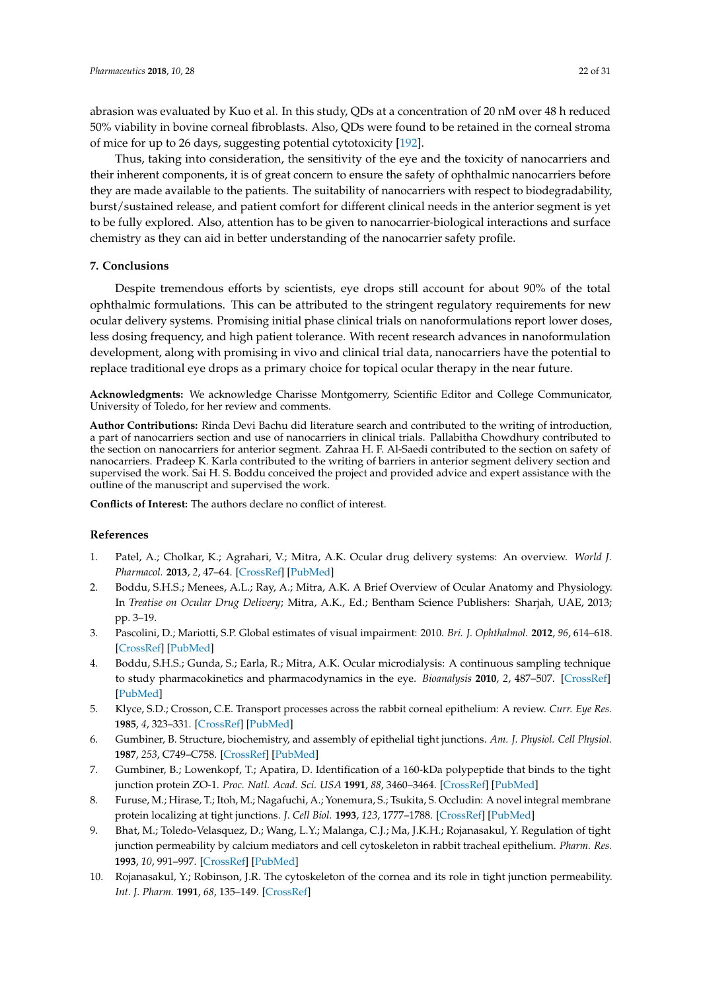abrasion was evaluated by Kuo et al. In this study, QDs at a concentration of 20 nM over 48 h reduced 50% viability in bovine corneal fibroblasts. Also, QDs were found to be retained in the corneal stroma of mice for up to 26 days, suggesting potential cytotoxicity [192].

Thus, taking into consideration, the sensitivity of the eye and the toxicity of nanocarriers and their inherent components, it is of great concern to ensure the safety of ophthalmic nanocarriers before they are made available to the patients. The suitability of nanocarriers with respect to biodegradability, burst/sustained release, and patient comfort for different clinical needs in the anterior segment is yet to be fully explored. Also, attention has to be given to nanocarrier-biological interactions and surface chemistry as they can aid in better understanding of the nanocarrier safety profile.

# **7. Conclusions**

Despite tremendous efforts by scientists, eye drops still account for about 90% of the total ophthalmic formulations. This can be attributed to the stringent regulatory requirements for new ocular delivery systems. Promising initial phase clinical trials on nanoformulations report lower doses, less dosing frequency, and high patient tolerance. With recent research advances in nanoformulation development, along with promising in vivo and clinical trial data, nanocarriers have the potential to replace traditional eye drops as a primary choice for topical ocular therapy in the near future.

**Acknowledgments:** We acknowledge Charisse Montgomerry, Scientific Editor and College Communicator, University of Toledo, for her review and comments.

**Author Contributions:** Rinda Devi Bachu did literature search and contributed to the writing of introduction, a part of nanocarriers section and use of nanocarriers in clinical trials. Pallabitha Chowdhury contributed to the section on nanocarriers for anterior segment. Zahraa H. F. Al-Saedi contributed to the section on safety of nanocarriers. Pradeep K. Karla contributed to the writing of barriers in anterior segment delivery section and supervised the work. Sai H. S. Boddu conceived the project and provided advice and expert assistance with the outline of the manuscript and supervised the work.

**Conflicts of Interest:** The authors declare no conflict of interest.

## **References**

- 1. Patel, A.; Cholkar, K.; Agrahari, V.; Mitra, A.K. Ocular drug delivery systems: An overview. *World J. Pharmacol.* **2013**, *2*, 47–64. [CrossRef] [PubMed]
- 2. Boddu, S.H.S.; Menees, A.L.; Ray, A.; Mitra, A.K. A Brief Overview of Ocular Anatomy and Physiology. In *Treatise on Ocular Drug Delivery*; Mitra, A.K., Ed.; Bentham Science Publishers: Sharjah, UAE, 2013; pp. 3–19.
- 3. Pascolini, D.; Mariotti, S.P. Global estimates of visual impairment: 2010. *Bri. J. Ophthalmol.* **2012**, *96*, 614–618. [CrossRef] [PubMed]
- 4. Boddu, S.H.S.; Gunda, S.; Earla, R.; Mitra, A.K. Ocular microdialysis: A continuous sampling technique to study pharmacokinetics and pharmacodynamics in the eye. *Bioanalysis* **2010**, *2*, 487–507. [CrossRef] [PubMed]
- 5. Klyce, S.D.; Crosson, C.E. Transport processes across the rabbit corneal epithelium: A review. *Curr. Eye Res.* **1985**, *4*, 323–331. [CrossRef] [PubMed]
- 6. Gumbiner, B. Structure, biochemistry, and assembly of epithelial tight junctions. *Am. J. Physiol. Cell Physiol.* **1987**, *253*, C749–C758. [CrossRef] [PubMed]
- 7. Gumbiner, B.; Lowenkopf, T.; Apatira, D. Identification of a 160-kDa polypeptide that binds to the tight junction protein ZO-1. *Proc. Natl. Acad. Sci. USA* **1991**, *88*, 3460–3464. [CrossRef] [PubMed]
- 8. Furuse, M.; Hirase, T.; Itoh, M.; Nagafuchi, A.; Yonemura, S.; Tsukita, S. Occludin: A novel integral membrane protein localizing at tight junctions. *J. Cell Biol.* **1993**, *123*, 1777–1788. [CrossRef] [PubMed]
- 9. Bhat, M.; Toledo-Velasquez, D.; Wang, L.Y.; Malanga, C.J.; Ma, J.K.H.; Rojanasakul, Y. Regulation of tight junction permeability by calcium mediators and cell cytoskeleton in rabbit tracheal epithelium. *Pharm. Res.* **1993**, *10*, 991–997. [CrossRef] [PubMed]
- 10. Rojanasakul, Y.; Robinson, J.R. The cytoskeleton of the cornea and its role in tight junction permeability. *Int. J. Pharm.* **1991**, *68*, 135–149. [CrossRef]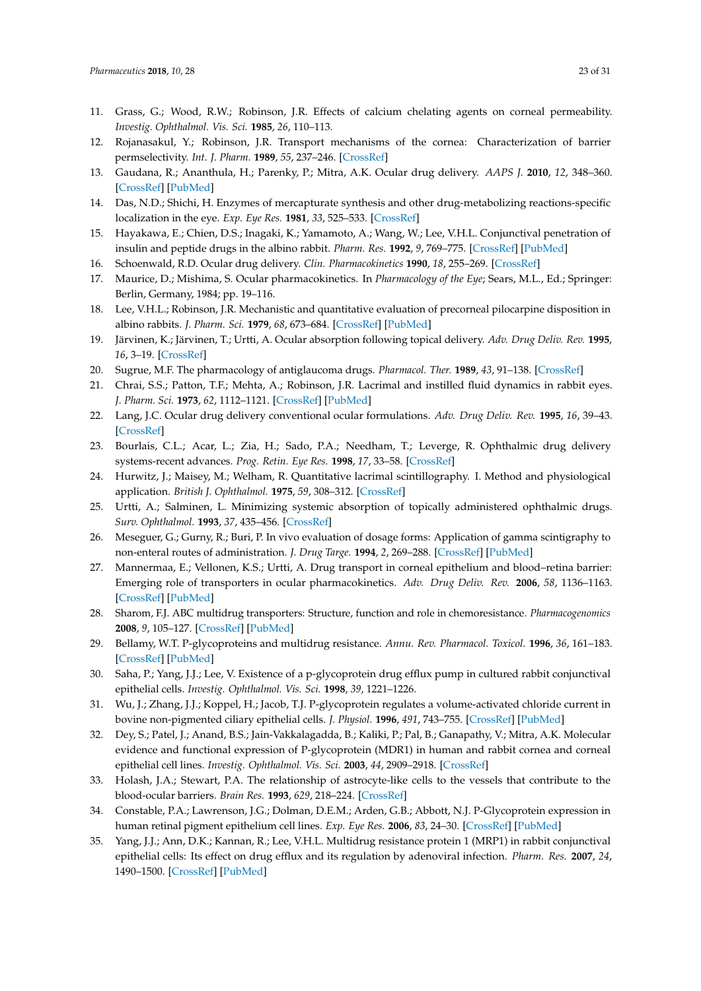- 11. Grass, G.; Wood, R.W.; Robinson, J.R. Effects of calcium chelating agents on corneal permeability. *Investig. Ophthalmol. Vis. Sci.* **1985**, *26*, 110–113.
- 12. Rojanasakul, Y.; Robinson, J.R. Transport mechanisms of the cornea: Characterization of barrier permselectivity. *Int. J. Pharm.* **1989**, *55*, 237–246. [CrossRef]
- 13. Gaudana, R.; Ananthula, H.; Parenky, P.; Mitra, A.K. Ocular drug delivery. *AAPS J.* **2010**, *12*, 348–360. [CrossRef] [PubMed]
- 14. Das, N.D.; Shichi, H. Enzymes of mercapturate synthesis and other drug-metabolizing reactions-specific localization in the eye. *Exp. Eye Res.* **1981**, *33*, 525–533. [CrossRef]
- 15. Hayakawa, E.; Chien, D.S.; Inagaki, K.; Yamamoto, A.; Wang, W.; Lee, V.H.L. Conjunctival penetration of insulin and peptide drugs in the albino rabbit. *Pharm. Res.* **1992**, *9*, 769–775. [CrossRef] [PubMed]
- 16. Schoenwald, R.D. Ocular drug delivery. *Clin. Pharmacokinetics* **1990**, *18*, 255–269. [CrossRef]
- 17. Maurice, D.; Mishima, S. Ocular pharmacokinetics. In *Pharmacology of the Eye*; Sears, M.L., Ed.; Springer: Berlin, Germany, 1984; pp. 19–116.
- 18. Lee, V.H.L.; Robinson, J.R. Mechanistic and quantitative evaluation of precorneal pilocarpine disposition in albino rabbits. *J. Pharm. Sci.* **1979**, *68*, 673–684. [CrossRef] [PubMed]
- 19. Järvinen, K.; Järvinen, T.; Urtti, A. Ocular absorption following topical delivery. *Adv. Drug Deliv. Rev.* **1995**, *16*, 3–19. [CrossRef]
- 20. Sugrue, M.F. The pharmacology of antiglaucoma drugs. *Pharmacol. Ther.* **1989**, *43*, 91–138. [CrossRef]
- 21. Chrai, S.S.; Patton, T.F.; Mehta, A.; Robinson, J.R. Lacrimal and instilled fluid dynamics in rabbit eyes. *J. Pharm. Sci.* **1973**, *62*, 1112–1121. [CrossRef] [PubMed]
- 22. Lang, J.C. Ocular drug delivery conventional ocular formulations. *Adv. Drug Deliv. Rev.* **1995**, *16*, 39–43. [CrossRef]
- 23. Bourlais, C.L.; Acar, L.; Zia, H.; Sado, P.A.; Needham, T.; Leverge, R. Ophthalmic drug delivery systems-recent advances. *Prog. Retin. Eye Res.* **1998**, *17*, 33–58. [CrossRef]
- 24. Hurwitz, J.; Maisey, M.; Welham, R. Quantitative lacrimal scintillography. I. Method and physiological application. *British J. Ophthalmol.* **1975**, *59*, 308–312. [CrossRef]
- 25. Urtti, A.; Salminen, L. Minimizing systemic absorption of topically administered ophthalmic drugs. *Surv. Ophthalmol.* **1993**, *37*, 435–456. [CrossRef]
- 26. Meseguer, G.; Gurny, R.; Buri, P. In vivo evaluation of dosage forms: Application of gamma scintigraphy to non-enteral routes of administration. *J. Drug Targe.* **1994**, *2*, 269–288. [CrossRef] [PubMed]
- 27. Mannermaa, E.; Vellonen, K.S.; Urtti, A. Drug transport in corneal epithelium and blood–retina barrier: Emerging role of transporters in ocular pharmacokinetics. *Adv. Drug Deliv. Rev.* **2006**, *58*, 1136–1163. [CrossRef] [PubMed]
- 28. Sharom, F.J. ABC multidrug transporters: Structure, function and role in chemoresistance. *Pharmacogenomics* **2008**, *9*, 105–127. [CrossRef] [PubMed]
- 29. Bellamy, W.T. P-glycoproteins and multidrug resistance. *Annu. Rev. Pharmacol. Toxicol.* **1996**, *36*, 161–183. [CrossRef] [PubMed]
- 30. Saha, P.; Yang, J.J.; Lee, V. Existence of a p-glycoprotein drug efflux pump in cultured rabbit conjunctival epithelial cells. *Investig. Ophthalmol. Vis. Sci.* **1998**, *39*, 1221–1226.
- 31. Wu, J.; Zhang, J.J.; Koppel, H.; Jacob, T.J. P-glycoprotein regulates a volume-activated chloride current in bovine non-pigmented ciliary epithelial cells. *J. Physiol.* **1996**, *491*, 743–755. [CrossRef] [PubMed]
- 32. Dey, S.; Patel, J.; Anand, B.S.; Jain-Vakkalagadda, B.; Kaliki, P.; Pal, B.; Ganapathy, V.; Mitra, A.K. Molecular evidence and functional expression of P-glycoprotein (MDR1) in human and rabbit cornea and corneal epithelial cell lines. *Investig. Ophthalmol. Vis. Sci.* **2003**, *44*, 2909–2918. [CrossRef]
- 33. Holash, J.A.; Stewart, P.A. The relationship of astrocyte-like cells to the vessels that contribute to the blood-ocular barriers. *Brain Res.* **1993**, *629*, 218–224. [CrossRef]
- 34. Constable, P.A.; Lawrenson, J.G.; Dolman, D.E.M.; Arden, G.B.; Abbott, N.J. P-Glycoprotein expression in human retinal pigment epithelium cell lines. *Exp. Eye Res.* **2006**, *83*, 24–30. [CrossRef] [PubMed]
- 35. Yang, J.J.; Ann, D.K.; Kannan, R.; Lee, V.H.L. Multidrug resistance protein 1 (MRP1) in rabbit conjunctival epithelial cells: Its effect on drug efflux and its regulation by adenoviral infection. *Pharm. Res.* **2007**, *24*, 1490–1500. [CrossRef] [PubMed]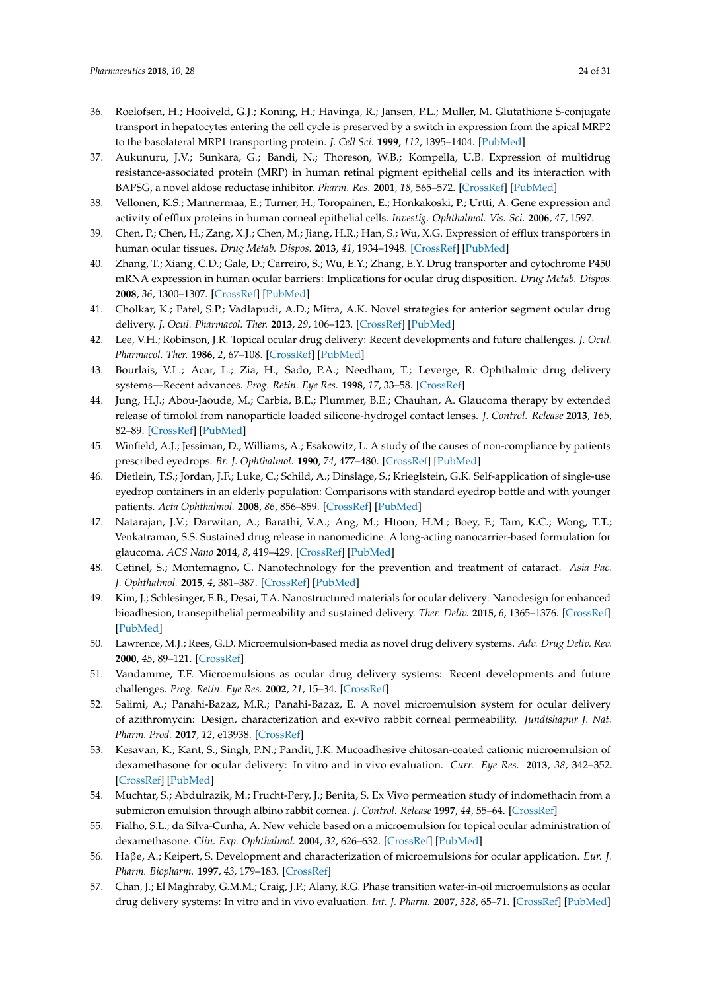- 36. Roelofsen, H.; Hooiveld, G.J.; Koning, H.; Havinga, R.; Jansen, P.L.; Muller, M. Glutathione S-conjugate transport in hepatocytes entering the cell cycle is preserved by a switch in expression from the apical MRP2 to the basolateral MRP1 transporting protein. *J. Cell Sci.* **1999**, *112*, 1395–1404. [PubMed]
- 37. Aukunuru, J.V.; Sunkara, G.; Bandi, N.; Thoreson, W.B.; Kompella, U.B. Expression of multidrug resistance-associated protein (MRP) in human retinal pigment epithelial cells and its interaction with BAPSG, a novel aldose reductase inhibitor. *Pharm. Res.* **2001**, *18*, 565–572. [CrossRef] [PubMed]
- 38. Vellonen, K.S.; Mannermaa, E.; Turner, H.; Toropainen, E.; Honkakoski, P.; Urtti, A. Gene expression and activity of efflux proteins in human corneal epithelial cells. *Investig. Ophthalmol. Vis. Sci.* **2006**, *47*, 1597.
- 39. Chen, P.; Chen, H.; Zang, X.J.; Chen, M.; Jiang, H.R.; Han, S.; Wu, X.G. Expression of efflux transporters in human ocular tissues. *Drug Metab. Dispos.* **2013**, *41*, 1934–1948. [CrossRef] [PubMed]
- 40. Zhang, T.; Xiang, C.D.; Gale, D.; Carreiro, S.; Wu, E.Y.; Zhang, E.Y. Drug transporter and cytochrome P450 mRNA expression in human ocular barriers: Implications for ocular drug disposition. *Drug Metab. Dispos.* **2008**, *36*, 1300–1307. [CrossRef] [PubMed]
- 41. Cholkar, K.; Patel, S.P.; Vadlapudi, A.D.; Mitra, A.K. Novel strategies for anterior segment ocular drug delivery. *J. Ocul. Pharmacol. Ther.* **2013**, *29*, 106–123. [CrossRef] [PubMed]
- 42. Lee, V.H.; Robinson, J.R. Topical ocular drug delivery: Recent developments and future challenges. *J. Ocul. Pharmacol. Ther.* **1986**, *2*, 67–108. [CrossRef] [PubMed]
- 43. Bourlais, V.L.; Acar, L.; Zia, H.; Sado, P.A.; Needham, T.; Leverge, R. Ophthalmic drug delivery systems—Recent advances. *Prog. Retin. Eye Res.* **1998**, *17*, 33–58. [CrossRef]
- 44. Jung, H.J.; Abou-Jaoude, M.; Carbia, B.E.; Plummer, B.E.; Chauhan, A. Glaucoma therapy by extended release of timolol from nanoparticle loaded silicone-hydrogel contact lenses. *J. Control. Release* **2013**, *165*, 82–89. [CrossRef] [PubMed]
- 45. Winfield, A.J.; Jessiman, D.; Williams, A.; Esakowitz, L. A study of the causes of non-compliance by patients prescribed eyedrops. *Br. J. Ophthalmol.* **1990**, *74*, 477–480. [CrossRef] [PubMed]
- 46. Dietlein, T.S.; Jordan, J.F.; Luke, C.; Schild, A.; Dinslage, S.; Krieglstein, G.K. Self-application of single-use eyedrop containers in an elderly population: Comparisons with standard eyedrop bottle and with younger patients. *Acta Ophthalmol.* **2008**, *86*, 856–859. [CrossRef] [PubMed]
- 47. Natarajan, J.V.; Darwitan, A.; Barathi, V.A.; Ang, M.; Htoon, H.M.; Boey, F.; Tam, K.C.; Wong, T.T.; Venkatraman, S.S. Sustained drug release in nanomedicine: A long-acting nanocarrier-based formulation for glaucoma. *ACS Nano* **2014**, *8*, 419–429. [CrossRef] [PubMed]
- 48. Cetinel, S.; Montemagno, C. Nanotechnology for the prevention and treatment of cataract. *Asia Pac. J. Ophthalmol.* **2015**, *4*, 381–387. [CrossRef] [PubMed]
- 49. Kim, J.; Schlesinger, E.B.; Desai, T.A. Nanostructured materials for ocular delivery: Nanodesign for enhanced bioadhesion, transepithelial permeability and sustained delivery. *Ther. Deliv.* **2015**, *6*, 1365–1376. [CrossRef] [PubMed]
- 50. Lawrence, M.J.; Rees, G.D. Microemulsion-based media as novel drug delivery systems. *Adv. Drug Deliv. Rev.* **2000**, *45*, 89–121. [CrossRef]
- 51. Vandamme, T.F. Microemulsions as ocular drug delivery systems: Recent developments and future challenges. *Prog. Retin. Eye Res.* **2002**, *21*, 15–34. [CrossRef]
- 52. Salimi, A.; Panahi-Bazaz, M.R.; Panahi-Bazaz, E. A novel microemulsion system for ocular delivery of azithromycin: Design, characterization and ex-vivo rabbit corneal permeability. *Jundishapur J. Nat. Pharm. Prod.* **2017**, *12*, e13938. [CrossRef]
- 53. Kesavan, K.; Kant, S.; Singh, P.N.; Pandit, J.K. Mucoadhesive chitosan-coated cationic microemulsion of dexamethasone for ocular delivery: In vitro and in vivo evaluation. *Curr. Eye Res.* **2013**, *38*, 342–352. [CrossRef] [PubMed]
- 54. Muchtar, S.; Abdulrazik, M.; Frucht-Pery, J.; Benita, S. Ex Vivo permeation study of indomethacin from a submicron emulsion through albino rabbit cornea. *J. Control. Release* **1997**, *44*, 55–64. [CrossRef]
- 55. Fialho, S.L.; da Silva-Cunha, A. New vehicle based on a microemulsion for topical ocular administration of dexamethasone. *Clin. Exp. Ophthalmol.* **2004**, *32*, 626–632. [CrossRef] [PubMed]
- 56. Haβe, A.; Keipert, S. Development and characterization of microemulsions for ocular application. *Eur. J. Pharm. Biopharm.* **1997**, *43*, 179–183. [CrossRef]
- 57. Chan, J.; El Maghraby, G.M.M.; Craig, J.P.; Alany, R.G. Phase transition water-in-oil microemulsions as ocular drug delivery systems: In vitro and in vivo evaluation. *Int. J. Pharm.* **2007**, *328*, 65–71. [CrossRef] [PubMed]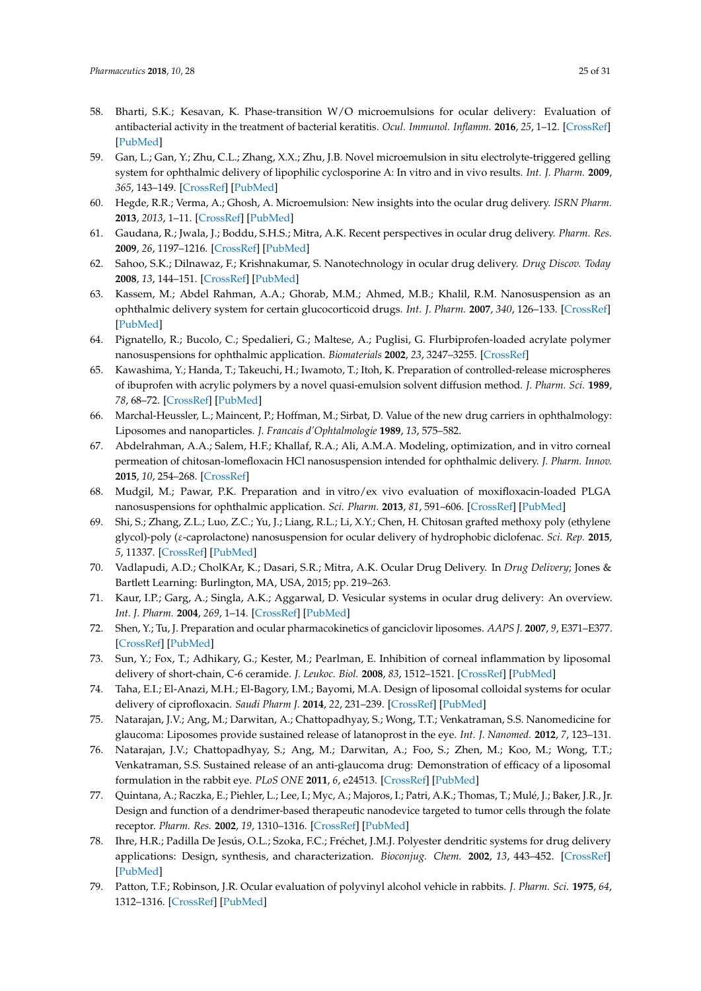- 58. Bharti, S.K.; Kesavan, K. Phase-transition W/O microemulsions for ocular delivery: Evaluation of antibacterial activity in the treatment of bacterial keratitis. *Ocul. Immunol. Inflamm.* **2016**, *25*, 1–12. [CrossRef] [PubMed]
- 59. Gan, L.; Gan, Y.; Zhu, C.L.; Zhang, X.X.; Zhu, J.B. Novel microemulsion in situ electrolyte-triggered gelling system for ophthalmic delivery of lipophilic cyclosporine A: In vitro and in vivo results. *Int. J. Pharm.* **2009**, *365*, 143–149. [CrossRef] [PubMed]
- 60. Hegde, R.R.; Verma, A.; Ghosh, A. Microemulsion: New insights into the ocular drug delivery. *ISRN Pharm.* **2013**, *2013*, 1–11. [CrossRef] [PubMed]
- 61. Gaudana, R.; Jwala, J.; Boddu, S.H.S.; Mitra, A.K. Recent perspectives in ocular drug delivery. *Pharm. Res.* **2009**, *26*, 1197–1216. [CrossRef] [PubMed]
- 62. Sahoo, S.K.; Dilnawaz, F.; Krishnakumar, S. Nanotechnology in ocular drug delivery. *Drug Discov. Today* **2008**, *13*, 144–151. [CrossRef] [PubMed]
- 63. Kassem, M.; Abdel Rahman, A.A.; Ghorab, M.M.; Ahmed, M.B.; Khalil, R.M. Nanosuspension as an ophthalmic delivery system for certain glucocorticoid drugs. *Int. J. Pharm.* **2007**, *340*, 126–133. [CrossRef] [PubMed]
- 64. Pignatello, R.; Bucolo, C.; Spedalieri, G.; Maltese, A.; Puglisi, G. Flurbiprofen-loaded acrylate polymer nanosuspensions for ophthalmic application. *Biomaterials* **2002**, *23*, 3247–3255. [CrossRef]
- 65. Kawashima, Y.; Handa, T.; Takeuchi, H.; Iwamoto, T.; Itoh, K. Preparation of controlled-release microspheres of ibuprofen with acrylic polymers by a novel quasi-emulsion solvent diffusion method. *J. Pharm. Sci.* **1989**, *78*, 68–72. [CrossRef] [PubMed]
- 66. Marchal-Heussler, L.; Maincent, P.; Hoffman, M.; Sirbat, D. Value of the new drug carriers in ophthalmology: Liposomes and nanoparticles. *J. Francais d'Ophtalmologie* **1989**, *13*, 575–582.
- 67. Abdelrahman, A.A.; Salem, H.F.; Khallaf, R.A.; Ali, A.M.A. Modeling, optimization, and in vitro corneal permeation of chitosan-lomefloxacin HCl nanosuspension intended for ophthalmic delivery. *J. Pharm. Innov.* **2015**, *10*, 254–268. [CrossRef]
- 68. Mudgil, M.; Pawar, P.K. Preparation and in vitro/ex vivo evaluation of moxifloxacin-loaded PLGA nanosuspensions for ophthalmic application. *Sci. Pharm.* **2013**, *81*, 591–606. [CrossRef] [PubMed]
- 69. Shi, S.; Zhang, Z.L.; Luo, Z.C.; Yu, J.; Liang, R.L.; Li, X.Y.; Chen, H. Chitosan grafted methoxy poly (ethylene glycol)-poly (ε-caprolactone) nanosuspension for ocular delivery of hydrophobic diclofenac. *Sci. Rep.* **2015**, *5*, 11337. [CrossRef] [PubMed]
- 70. Vadlapudi, A.D.; CholKAr, K.; Dasari, S.R.; Mitra, A.K. Ocular Drug Delivery. In *Drug Delivery*; Jones & Bartlett Learning: Burlington, MA, USA, 2015; pp. 219–263.
- 71. Kaur, I.P.; Garg, A.; Singla, A.K.; Aggarwal, D. Vesicular systems in ocular drug delivery: An overview. *Int. J. Pharm.* **2004**, *269*, 1–14. [CrossRef] [PubMed]
- 72. Shen, Y.; Tu, J. Preparation and ocular pharmacokinetics of ganciclovir liposomes. *AAPS J.* **2007**, *9*, E371–E377. [CrossRef] [PubMed]
- 73. Sun, Y.; Fox, T.; Adhikary, G.; Kester, M.; Pearlman, E. Inhibition of corneal inflammation by liposomal delivery of short-chain, C-6 ceramide. *J. Leukoc. Biol.* **2008**, *83*, 1512–1521. [CrossRef] [PubMed]
- 74. Taha, E.I.; El-Anazi, M.H.; El-Bagory, I.M.; Bayomi, M.A. Design of liposomal colloidal systems for ocular delivery of ciprofloxacin. *Saudi Pharm J.* **2014**, *22*, 231–239. [CrossRef] [PubMed]
- 75. Natarajan, J.V.; Ang, M.; Darwitan, A.; Chattopadhyay, S.; Wong, T.T.; Venkatraman, S.S. Nanomedicine for glaucoma: Liposomes provide sustained release of latanoprost in the eye. *Int. J. Nanomed.* **2012**, *7*, 123–131.
- 76. Natarajan, J.V.; Chattopadhyay, S.; Ang, M.; Darwitan, A.; Foo, S.; Zhen, M.; Koo, M.; Wong, T.T.; Venkatraman, S.S. Sustained release of an anti-glaucoma drug: Demonstration of efficacy of a liposomal formulation in the rabbit eye. *PLoS ONE* **2011**, *6*, e24513. [CrossRef] [PubMed]
- 77. Quintana, A.; Raczka, E.; Piehler, L.; Lee, I.; Myc, A.; Majoros, I.; Patri, A.K.; Thomas, T.; Mulé, J.; Baker, J.R., Jr. Design and function of a dendrimer-based therapeutic nanodevice targeted to tumor cells through the folate receptor. *Pharm. Res.* **2002**, *19*, 1310–1316. [CrossRef] [PubMed]
- 78. Ihre, H.R.; Padilla De Jesús, O.L.; Szoka, F.C.; Fréchet, J.M.J. Polyester dendritic systems for drug delivery applications: Design, synthesis, and characterization. *Bioconjug. Chem.* **2002**, *13*, 443–452. [CrossRef] [PubMed]
- 79. Patton, T.F.; Robinson, J.R. Ocular evaluation of polyvinyl alcohol vehicle in rabbits. *J. Pharm. Sci.* **1975**, *64*, 1312–1316. [CrossRef] [PubMed]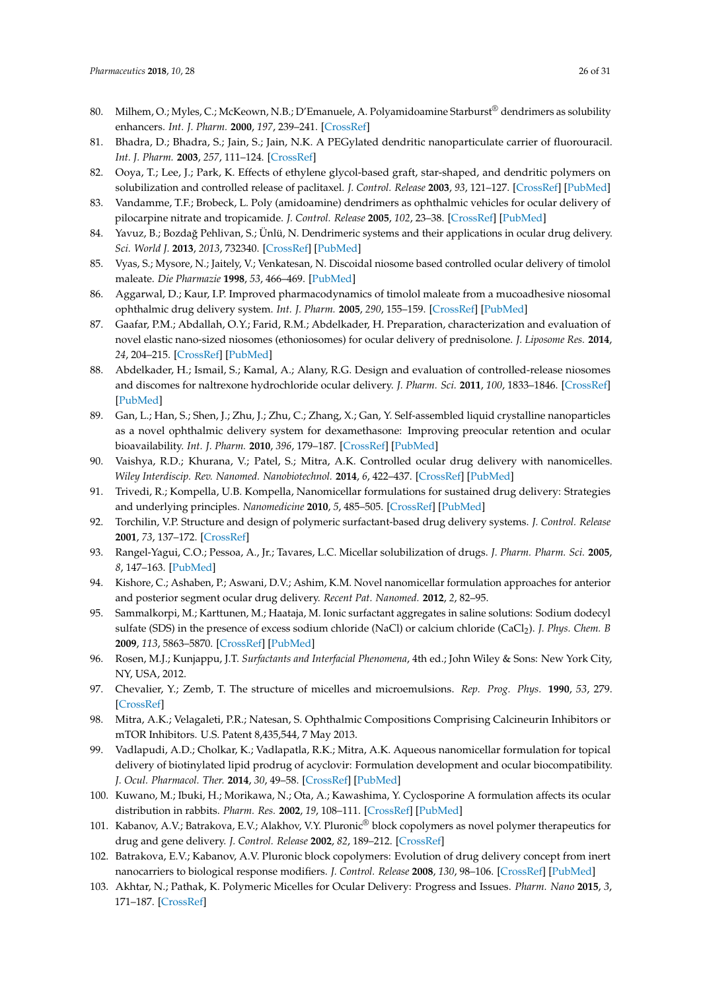- 80. Milhem, O.; Myles, C.; McKeown, N.B.; D'Emanuele, A. Polyamidoamine Starburst® dendrimers as solubility enhancers. *Int. J. Pharm.* **2000**, *197*, 239–241. [CrossRef]
- 81. Bhadra, D.; Bhadra, S.; Jain, S.; Jain, N.K. A PEGylated dendritic nanoparticulate carrier of fluorouracil. *Int. J. Pharm.* **2003**, *257*, 111–124. [CrossRef]
- 82. Ooya, T.; Lee, J.; Park, K. Effects of ethylene glycol-based graft, star-shaped, and dendritic polymers on solubilization and controlled release of paclitaxel. *J. Control. Release* **2003**, *93*, 121–127. [CrossRef] [PubMed]
- 83. Vandamme, T.F.; Brobeck, L. Poly (amidoamine) dendrimers as ophthalmic vehicles for ocular delivery of pilocarpine nitrate and tropicamide. *J. Control. Release* **2005**, *102*, 23–38. [CrossRef] [PubMed]
- 84. Yavuz, B.; Bozdağ Pehlivan, S.; Ünlü, N. Dendrimeric systems and their applications in ocular drug delivery. *Sci. World J.* **2013**, *2013*, 732340. [CrossRef] [PubMed]
- 85. Vyas, S.; Mysore, N.; Jaitely, V.; Venkatesan, N. Discoidal niosome based controlled ocular delivery of timolol maleate. *Die Pharmazie* **1998**, *53*, 466–469. [PubMed]
- 86. Aggarwal, D.; Kaur, I.P. Improved pharmacodynamics of timolol maleate from a mucoadhesive niosomal ophthalmic drug delivery system. *Int. J. Pharm.* **2005**, *290*, 155–159. [CrossRef] [PubMed]
- 87. Gaafar, P.M.; Abdallah, O.Y.; Farid, R.M.; Abdelkader, H. Preparation, characterization and evaluation of novel elastic nano-sized niosomes (ethoniosomes) for ocular delivery of prednisolone. *J. Liposome Res.* **2014**, *24*, 204–215. [CrossRef] [PubMed]
- 88. Abdelkader, H.; Ismail, S.; Kamal, A.; Alany, R.G. Design and evaluation of controlled-release niosomes and discomes for naltrexone hydrochloride ocular delivery. *J. Pharm. Sci.* **2011**, *100*, 1833–1846. [CrossRef] [PubMed]
- 89. Gan, L.; Han, S.; Shen, J.; Zhu, J.; Zhu, C.; Zhang, X.; Gan, Y. Self-assembled liquid crystalline nanoparticles as a novel ophthalmic delivery system for dexamethasone: Improving preocular retention and ocular bioavailability. *Int. J. Pharm.* **2010**, *396*, 179–187. [CrossRef] [PubMed]
- 90. Vaishya, R.D.; Khurana, V.; Patel, S.; Mitra, A.K. Controlled ocular drug delivery with nanomicelles. *Wiley Interdiscip. Rev. Nanomed. Nanobiotechnol.* **2014**, *6*, 422–437. [CrossRef] [PubMed]
- 91. Trivedi, R.; Kompella, U.B. Kompella, Nanomicellar formulations for sustained drug delivery: Strategies and underlying principles. *Nanomedicine* **2010**, *5*, 485–505. [CrossRef] [PubMed]
- 92. Torchilin, V.P. Structure and design of polymeric surfactant-based drug delivery systems. *J. Control. Release* **2001**, *73*, 137–172. [CrossRef]
- 93. Rangel-Yagui, C.O.; Pessoa, A., Jr.; Tavares, L.C. Micellar solubilization of drugs. *J. Pharm. Pharm. Sci.* **2005**, *8*, 147–163. [PubMed]
- 94. Kishore, C.; Ashaben, P.; Aswani, D.V.; Ashim, K.M. Novel nanomicellar formulation approaches for anterior and posterior segment ocular drug delivery. *Recent Pat. Nanomed.* **2012**, *2*, 82–95.
- 95. Sammalkorpi, M.; Karttunen, M.; Haataja, M. Ionic surfactant aggregates in saline solutions: Sodium dodecyl sulfate (SDS) in the presence of excess sodium chloride (NaCl) or calcium chloride (CaCl<sup>2</sup> ). *J. Phys. Chem. B* **2009**, *113*, 5863–5870. [CrossRef] [PubMed]
- 96. Rosen, M.J.; Kunjappu, J.T. *Surfactants and Interfacial Phenomena*, 4th ed.; John Wiley & Sons: New York City, NY, USA, 2012.
- 97. Chevalier, Y.; Zemb, T. The structure of micelles and microemulsions. *Rep. Prog. Phys.* **1990**, *53*, 279. [CrossRef]
- 98. Mitra, A.K.; Velagaleti, P.R.; Natesan, S. Ophthalmic Compositions Comprising Calcineurin Inhibitors or mTOR Inhibitors. U.S. Patent 8,435,544, 7 May 2013.
- 99. Vadlapudi, A.D.; Cholkar, K.; Vadlapatla, R.K.; Mitra, A.K. Aqueous nanomicellar formulation for topical delivery of biotinylated lipid prodrug of acyclovir: Formulation development and ocular biocompatibility. *J. Ocul. Pharmacol. Ther.* **2014**, *30*, 49–58. [CrossRef] [PubMed]
- 100. Kuwano, M.; Ibuki, H.; Morikawa, N.; Ota, A.; Kawashima, Y. Cyclosporine A formulation affects its ocular distribution in rabbits. *Pharm. Res.* **2002**, *19*, 108–111. [CrossRef] [PubMed]
- 101. Kabanov, A.V.; Batrakova, E.V.; Alakhov, V.Y. Pluronic® block copolymers as novel polymer therapeutics for drug and gene delivery. *J. Control. Release* **2002**, *82*, 189–212. [CrossRef]
- 102. Batrakova, E.V.; Kabanov, A.V. Pluronic block copolymers: Evolution of drug delivery concept from inert nanocarriers to biological response modifiers. *J. Control. Release* **2008**, *130*, 98–106. [CrossRef] [PubMed]
- 103. Akhtar, N.; Pathak, K. Polymeric Micelles for Ocular Delivery: Progress and Issues. *Pharm. Nano* **2015**, *3*, 171–187. [CrossRef]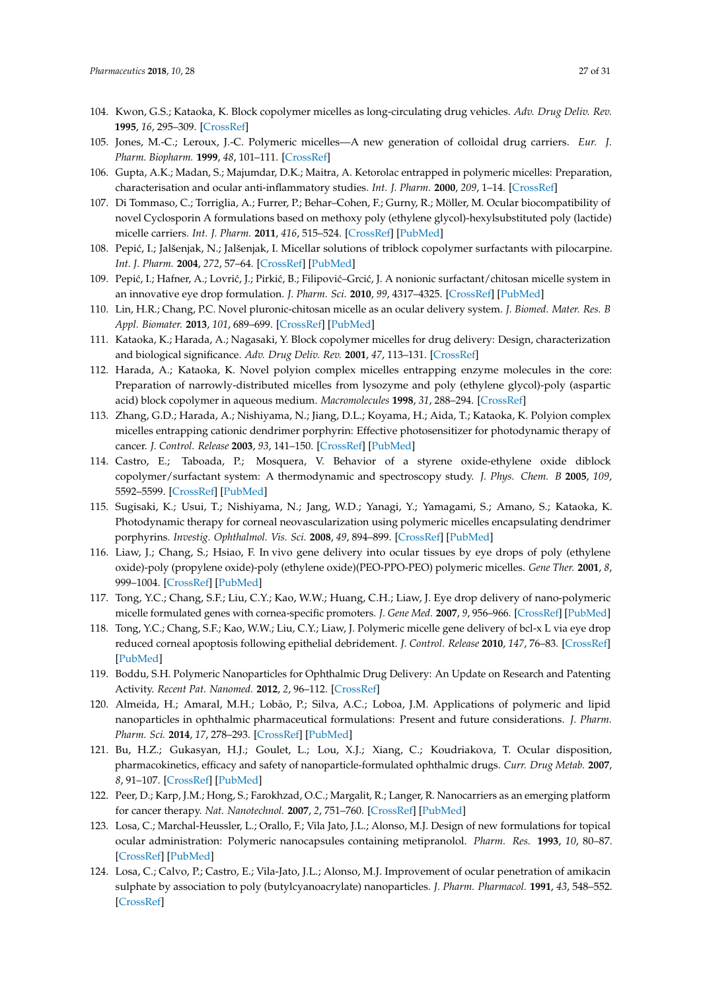- 104. Kwon, G.S.; Kataoka, K. Block copolymer micelles as long-circulating drug vehicles. *Adv. Drug Deliv. Rev.* **1995**, *16*, 295–309. [CrossRef]
- 105. Jones, M.-C.; Leroux, J.-C. Polymeric micelles—A new generation of colloidal drug carriers. *Eur. J. Pharm. Biopharm.* **1999**, *48*, 101–111. [CrossRef]
- 106. Gupta, A.K.; Madan, S.; Majumdar, D.K.; Maitra, A. Ketorolac entrapped in polymeric micelles: Preparation, characterisation and ocular anti-inflammatory studies. *Int. J. Pharm.* **2000**, *209*, 1–14. [CrossRef]
- 107. Di Tommaso, C.; Torriglia, A.; Furrer, P.; Behar–Cohen, F.; Gurny, R.; Möller, M. Ocular biocompatibility of novel Cyclosporin A formulations based on methoxy poly (ethylene glycol)-hexylsubstituted poly (lactide) micelle carriers. *Int. J. Pharm.* **2011**, *416*, 515–524. [CrossRef] [PubMed]
- 108. Pepić, I.; Jalšenjak, N.; Jalšenjak, I. Micellar solutions of triblock copolymer surfactants with pilocarpine. *Int. J. Pharm.* **2004**, *272*, 57–64. [CrossRef] [PubMed]
- 109. Pepić, I.; Hafner, A.; Lovrić, J.; Pirkić, B.; Filipović–Grcić, J. A nonionic surfactant/chitosan micelle system in an innovative eye drop formulation. *J. Pharm. Sci.* **2010**, *99*, 4317–4325. [CrossRef] [PubMed]
- 110. Lin, H.R.; Chang, P.C. Novel pluronic-chitosan micelle as an ocular delivery system. *J. Biomed. Mater. Res. B Appl. Biomater.* **2013**, *101*, 689–699. [CrossRef] [PubMed]
- 111. Kataoka, K.; Harada, A.; Nagasaki, Y. Block copolymer micelles for drug delivery: Design, characterization and biological significance. *Adv. Drug Deliv. Rev.* **2001**, *47*, 113–131. [CrossRef]
- 112. Harada, A.; Kataoka, K. Novel polyion complex micelles entrapping enzyme molecules in the core: Preparation of narrowly-distributed micelles from lysozyme and poly (ethylene glycol)-poly (aspartic acid) block copolymer in aqueous medium. *Macromolecules* **1998**, *31*, 288–294. [CrossRef]
- 113. Zhang, G.D.; Harada, A.; Nishiyama, N.; Jiang, D.L.; Koyama, H.; Aida, T.; Kataoka, K. Polyion complex micelles entrapping cationic dendrimer porphyrin: Effective photosensitizer for photodynamic therapy of cancer. *J. Control. Release* **2003**, *93*, 141–150. [CrossRef] [PubMed]
- 114. Castro, E.; Taboada, P.; Mosquera, V. Behavior of a styrene oxide-ethylene oxide diblock copolymer/surfactant system: A thermodynamic and spectroscopy study. *J. Phys. Chem. B* **2005**, *109*, 5592–5599. [CrossRef] [PubMed]
- 115. Sugisaki, K.; Usui, T.; Nishiyama, N.; Jang, W.D.; Yanagi, Y.; Yamagami, S.; Amano, S.; Kataoka, K. Photodynamic therapy for corneal neovascularization using polymeric micelles encapsulating dendrimer porphyrins. *Investig. Ophthalmol. Vis. Sci.* **2008**, *49*, 894–899. [CrossRef] [PubMed]
- 116. Liaw, J.; Chang, S.; Hsiao, F. In vivo gene delivery into ocular tissues by eye drops of poly (ethylene oxide)-poly (propylene oxide)-poly (ethylene oxide)(PEO-PPO-PEO) polymeric micelles. *Gene Ther.* **2001**, *8*, 999–1004. [CrossRef] [PubMed]
- 117. Tong, Y.C.; Chang, S.F.; Liu, C.Y.; Kao, W.W.; Huang, C.H.; Liaw, J. Eye drop delivery of nano-polymeric micelle formulated genes with cornea-specific promoters. *J. Gene Med.* **2007**, *9*, 956–966. [CrossRef] [PubMed]
- 118. Tong, Y.C.; Chang, S.F.; Kao, W.W.; Liu, C.Y.; Liaw, J. Polymeric micelle gene delivery of bcl-x L via eye drop reduced corneal apoptosis following epithelial debridement. *J. Control. Release* **2010**, *147*, 76–83. [CrossRef] [PubMed]
- 119. Boddu, S.H. Polymeric Nanoparticles for Ophthalmic Drug Delivery: An Update on Research and Patenting Activity. *Recent Pat. Nanomed.* **2012**, *2*, 96–112. [CrossRef]
- 120. Almeida, H.; Amaral, M.H.; Lobão, P.; Silva, A.C.; Loboa, J.M. Applications of polymeric and lipid nanoparticles in ophthalmic pharmaceutical formulations: Present and future considerations. *J. Pharm. Pharm. Sci.* **2014**, *17*, 278–293. [CrossRef] [PubMed]
- 121. Bu, H.Z.; Gukasyan, H.J.; Goulet, L.; Lou, X.J.; Xiang, C.; Koudriakova, T. Ocular disposition, pharmacokinetics, efficacy and safety of nanoparticle-formulated ophthalmic drugs. *Curr. Drug Metab.* **2007**, *8*, 91–107. [CrossRef] [PubMed]
- 122. Peer, D.; Karp, J.M.; Hong, S.; Farokhzad, O.C.; Margalit, R.; Langer, R. Nanocarriers as an emerging platform for cancer therapy. *Nat. Nanotechnol.* **2007**, *2*, 751–760. [CrossRef] [PubMed]
- 123. Losa, C.; Marchal-Heussler, L.; Orallo, F.; Vila Jato, J.L.; Alonso, M.J. Design of new formulations for topical ocular administration: Polymeric nanocapsules containing metipranolol. *Pharm. Res.* **1993**, *10*, 80–87. [CrossRef] [PubMed]
- 124. Losa, C.; Calvo, P.; Castro, E.; Vila-Jato, J.L.; Alonso, M.J. Improvement of ocular penetration of amikacin sulphate by association to poly (butylcyanoacrylate) nanoparticles. *J. Pharm. Pharmacol.* **1991**, *43*, 548–552. [CrossRef]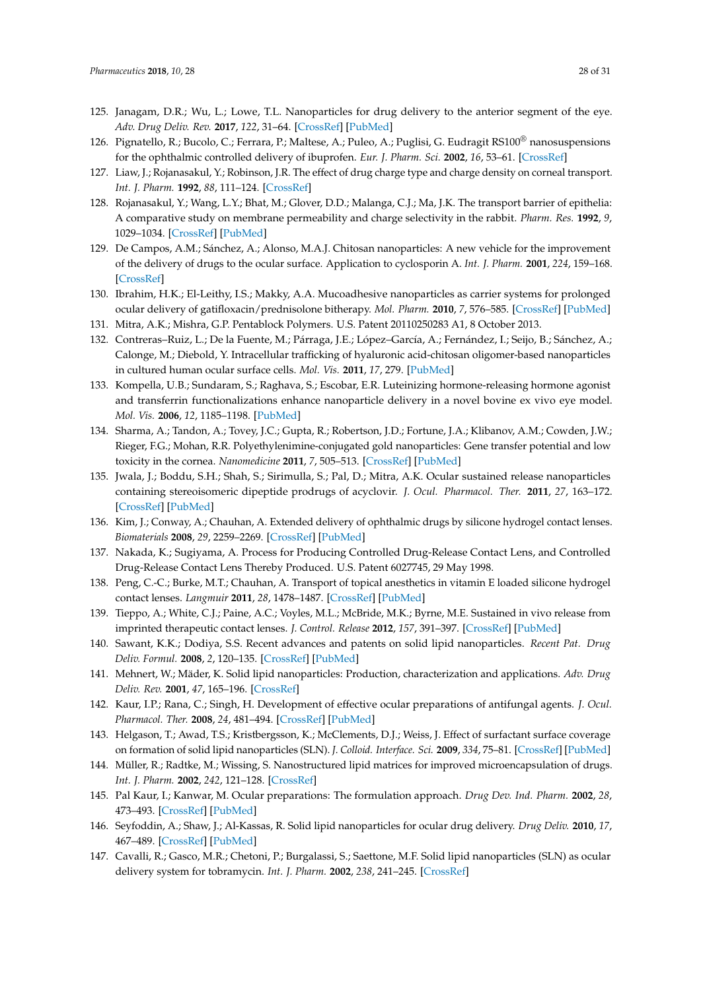- 125. Janagam, D.R.; Wu, L.; Lowe, T.L. Nanoparticles for drug delivery to the anterior segment of the eye. *Adv. Drug Deliv. Rev.* **2017**, *122*, 31–64. [CrossRef] [PubMed]
- 126. Pignatello, R.; Bucolo, C.; Ferrara, P.; Maltese, A.; Puleo, A.; Puglisi, G. Eudragit RS100<sup>®</sup> nanosuspensions for the ophthalmic controlled delivery of ibuprofen. *Eur. J. Pharm. Sci.* **2002**, *16*, 53–61. [CrossRef]
- 127. Liaw, J.; Rojanasakul, Y.; Robinson, J.R. The effect of drug charge type and charge density on corneal transport. *Int. J. Pharm.* **1992**, *88*, 111–124. [CrossRef]
- 128. Rojanasakul, Y.; Wang, L.Y.; Bhat, M.; Glover, D.D.; Malanga, C.J.; Ma, J.K. The transport barrier of epithelia: A comparative study on membrane permeability and charge selectivity in the rabbit. *Pharm. Res.* **1992**, *9*, 1029–1034. [CrossRef] [PubMed]
- 129. De Campos, A.M.; Sánchez, A.; Alonso, M.A.J. Chitosan nanoparticles: A new vehicle for the improvement of the delivery of drugs to the ocular surface. Application to cyclosporin A. *Int. J. Pharm.* **2001**, *224*, 159–168. [CrossRef]
- 130. Ibrahim, H.K.; El-Leithy, I.S.; Makky, A.A. Mucoadhesive nanoparticles as carrier systems for prolonged ocular delivery of gatifloxacin/prednisolone bitherapy. *Mol. Pharm.* **2010**, *7*, 576–585. [CrossRef] [PubMed]
- 131. Mitra, A.K.; Mishra, G.P. Pentablock Polymers. U.S. Patent 20110250283 A1, 8 October 2013.
- 132. Contreras–Ruiz, L.; De la Fuente, M.; Párraga, J.E.; López–García, A.; Fernández, I.; Seijo, B.; Sánchez, A.; Calonge, M.; Diebold, Y. Intracellular trafficking of hyaluronic acid-chitosan oligomer-based nanoparticles in cultured human ocular surface cells. *Mol. Vis.* **2011**, *17*, 279. [PubMed]
- 133. Kompella, U.B.; Sundaram, S.; Raghava, S.; Escobar, E.R. Luteinizing hormone-releasing hormone agonist and transferrin functionalizations enhance nanoparticle delivery in a novel bovine ex vivo eye model. *Mol. Vis.* **2006**, *12*, 1185–1198. [PubMed]
- 134. Sharma, A.; Tandon, A.; Tovey, J.C.; Gupta, R.; Robertson, J.D.; Fortune, J.A.; Klibanov, A.M.; Cowden, J.W.; Rieger, F.G.; Mohan, R.R. Polyethylenimine-conjugated gold nanoparticles: Gene transfer potential and low toxicity in the cornea. *Nanomedicine* **2011**, *7*, 505–513. [CrossRef] [PubMed]
- 135. Jwala, J.; Boddu, S.H.; Shah, S.; Sirimulla, S.; Pal, D.; Mitra, A.K. Ocular sustained release nanoparticles containing stereoisomeric dipeptide prodrugs of acyclovir. *J. Ocul. Pharmacol. Ther.* **2011**, *27*, 163–172. [CrossRef] [PubMed]
- 136. Kim, J.; Conway, A.; Chauhan, A. Extended delivery of ophthalmic drugs by silicone hydrogel contact lenses. *Biomaterials* **2008**, *29*, 2259–2269. [CrossRef] [PubMed]
- 137. Nakada, K.; Sugiyama, A. Process for Producing Controlled Drug-Release Contact Lens, and Controlled Drug-Release Contact Lens Thereby Produced. U.S. Patent 6027745, 29 May 1998.
- 138. Peng, C.-C.; Burke, M.T.; Chauhan, A. Transport of topical anesthetics in vitamin E loaded silicone hydrogel contact lenses. *Langmuir* **2011**, *28*, 1478–1487. [CrossRef] [PubMed]
- 139. Tieppo, A.; White, C.J.; Paine, A.C.; Voyles, M.L.; McBride, M.K.; Byrne, M.E. Sustained in vivo release from imprinted therapeutic contact lenses. *J. Control. Release* **2012**, *157*, 391–397. [CrossRef] [PubMed]
- 140. Sawant, K.K.; Dodiya, S.S. Recent advances and patents on solid lipid nanoparticles. *Recent Pat. Drug Deliv. Formul.* **2008**, *2*, 120–135. [CrossRef] [PubMed]
- 141. Mehnert, W.; Mäder, K. Solid lipid nanoparticles: Production, characterization and applications. *Adv. Drug Deliv. Rev.* **2001**, *47*, 165–196. [CrossRef]
- 142. Kaur, I.P.; Rana, C.; Singh, H. Development of effective ocular preparations of antifungal agents. *J. Ocul. Pharmacol. Ther.* **2008**, *24*, 481–494. [CrossRef] [PubMed]
- 143. Helgason, T.; Awad, T.S.; Kristbergsson, K.; McClements, D.J.; Weiss, J. Effect of surfactant surface coverage on formation of solid lipid nanoparticles (SLN). *J. Colloid. Interface. Sci.* **2009**, *334*, 75–81. [CrossRef] [PubMed]
- 144. Müller, R.; Radtke, M.; Wissing, S. Nanostructured lipid matrices for improved microencapsulation of drugs. *Int. J. Pharm.* **2002**, *242*, 121–128. [CrossRef]
- 145. Pal Kaur, I.; Kanwar, M. Ocular preparations: The formulation approach. *Drug Dev. Ind. Pharm.* **2002**, *28*, 473–493. [CrossRef] [PubMed]
- 146. Seyfoddin, A.; Shaw, J.; Al-Kassas, R. Solid lipid nanoparticles for ocular drug delivery. *Drug Deliv.* **2010**, *17*, 467–489. [CrossRef] [PubMed]
- 147. Cavalli, R.; Gasco, M.R.; Chetoni, P.; Burgalassi, S.; Saettone, M.F. Solid lipid nanoparticles (SLN) as ocular delivery system for tobramycin. *Int. J. Pharm.* **2002**, *238*, 241–245. [CrossRef]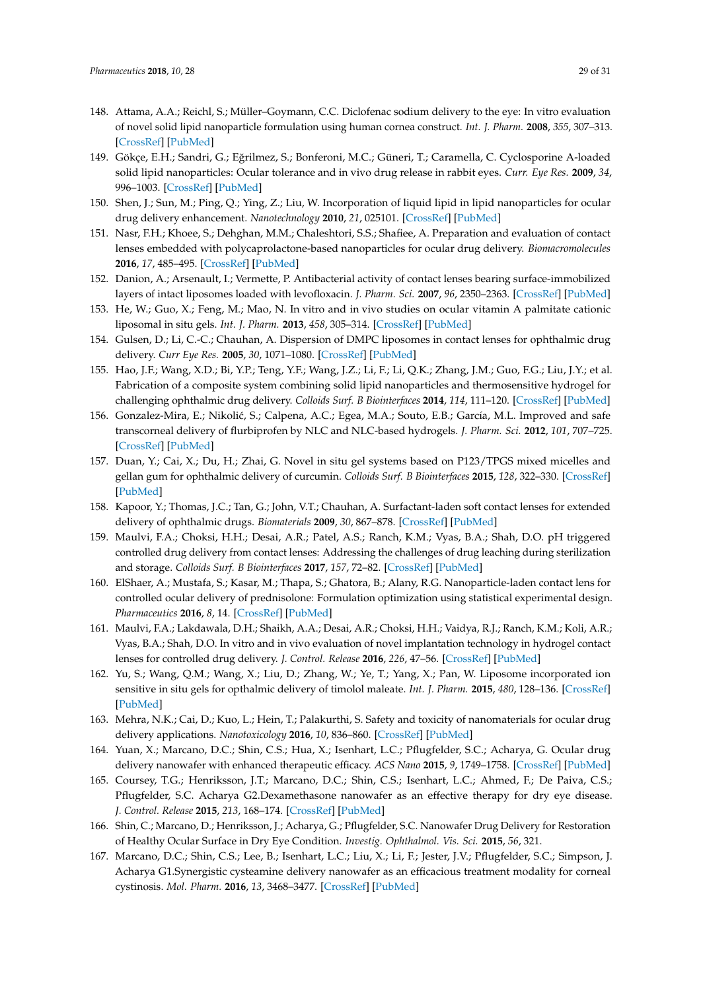- 148. Attama, A.A.; Reichl, S.; Müller–Goymann, C.C. Diclofenac sodium delivery to the eye: In vitro evaluation of novel solid lipid nanoparticle formulation using human cornea construct. *Int. J. Pharm.* **2008**, *355*, 307–313. [CrossRef] [PubMed]
- 149. Gökçe, E.H.; Sandri, G.; Eğrilmez, S.; Bonferoni, M.C.; Güneri, T.; Caramella, C. Cyclosporine A-loaded solid lipid nanoparticles: Ocular tolerance and in vivo drug release in rabbit eyes. *Curr. Eye Res.* **2009**, *34*, 996–1003. [CrossRef] [PubMed]
- 150. Shen, J.; Sun, M.; Ping, Q.; Ying, Z.; Liu, W. Incorporation of liquid lipid in lipid nanoparticles for ocular drug delivery enhancement. *Nanotechnology* **2010**, *21*, 025101. [CrossRef] [PubMed]
- 151. Nasr, F.H.; Khoee, S.; Dehghan, M.M.; Chaleshtori, S.S.; Shafiee, A. Preparation and evaluation of contact lenses embedded with polycaprolactone-based nanoparticles for ocular drug delivery. *Biomacromolecules* **2016**, *17*, 485–495. [CrossRef] [PubMed]
- 152. Danion, A.; Arsenault, I.; Vermette, P. Antibacterial activity of contact lenses bearing surface-immobilized layers of intact liposomes loaded with levofloxacin. *J. Pharm. Sci.* **2007**, *96*, 2350–2363. [CrossRef] [PubMed]
- 153. He, W.; Guo, X.; Feng, M.; Mao, N. In vitro and in vivo studies on ocular vitamin A palmitate cationic liposomal in situ gels. *Int. J. Pharm.* **2013**, *458*, 305–314. [CrossRef] [PubMed]
- 154. Gulsen, D.; Li, C.-C.; Chauhan, A. Dispersion of DMPC liposomes in contact lenses for ophthalmic drug delivery. *Curr Eye Res.* **2005**, *30*, 1071–1080. [CrossRef] [PubMed]
- 155. Hao, J.F.; Wang, X.D.; Bi, Y.P.; Teng, Y.F.; Wang, J.Z.; Li, F.; Li, Q.K.; Zhang, J.M.; Guo, F.G.; Liu, J.Y.; et al. Fabrication of a composite system combining solid lipid nanoparticles and thermosensitive hydrogel for challenging ophthalmic drug delivery. *Colloids Surf. B Biointerfaces* **2014**, *114*, 111–120. [CrossRef] [PubMed]
- 156. Gonzalez-Mira, E.; Nikolić, S.; Calpena, A.C.; Egea, M.A.; Souto, E.B.; García, M.L. Improved and safe transcorneal delivery of flurbiprofen by NLC and NLC-based hydrogels. *J. Pharm. Sci.* **2012**, *101*, 707–725. [CrossRef] [PubMed]
- 157. Duan, Y.; Cai, X.; Du, H.; Zhai, G. Novel in situ gel systems based on P123/TPGS mixed micelles and gellan gum for ophthalmic delivery of curcumin. *Colloids Surf. B Biointerfaces* **2015**, *128*, 322–330. [CrossRef] [PubMed]
- 158. Kapoor, Y.; Thomas, J.C.; Tan, G.; John, V.T.; Chauhan, A. Surfactant-laden soft contact lenses for extended delivery of ophthalmic drugs. *Biomaterials* **2009**, *30*, 867–878. [CrossRef] [PubMed]
- 159. Maulvi, F.A.; Choksi, H.H.; Desai, A.R.; Patel, A.S.; Ranch, K.M.; Vyas, B.A.; Shah, D.O. pH triggered controlled drug delivery from contact lenses: Addressing the challenges of drug leaching during sterilization and storage. *Colloids Surf. B Biointerfaces* **2017**, *157*, 72–82. [CrossRef] [PubMed]
- 160. ElShaer, A.; Mustafa, S.; Kasar, M.; Thapa, S.; Ghatora, B.; Alany, R.G. Nanoparticle-laden contact lens for controlled ocular delivery of prednisolone: Formulation optimization using statistical experimental design. *Pharmaceutics* **2016**, *8*, 14. [CrossRef] [PubMed]
- 161. Maulvi, F.A.; Lakdawala, D.H.; Shaikh, A.A.; Desai, A.R.; Choksi, H.H.; Vaidya, R.J.; Ranch, K.M.; Koli, A.R.; Vyas, B.A.; Shah, D.O. In vitro and in vivo evaluation of novel implantation technology in hydrogel contact lenses for controlled drug delivery. *J. Control. Release* **2016**, *226*, 47–56. [CrossRef] [PubMed]
- 162. Yu, S.; Wang, Q.M.; Wang, X.; Liu, D.; Zhang, W.; Ye, T.; Yang, X.; Pan, W. Liposome incorporated ion sensitive in situ gels for opthalmic delivery of timolol maleate. *Int. J. Pharm.* **2015**, *480*, 128–136. [CrossRef] [PubMed]
- 163. Mehra, N.K.; Cai, D.; Kuo, L.; Hein, T.; Palakurthi, S. Safety and toxicity of nanomaterials for ocular drug delivery applications. *Nanotoxicology* **2016**, *10*, 836–860. [CrossRef] [PubMed]
- 164. Yuan, X.; Marcano, D.C.; Shin, C.S.; Hua, X.; Isenhart, L.C.; Pflugfelder, S.C.; Acharya, G. Ocular drug delivery nanowafer with enhanced therapeutic efficacy. *ACS Nano* **2015**, *9*, 1749–1758. [CrossRef] [PubMed]
- 165. Coursey, T.G.; Henriksson, J.T.; Marcano, D.C.; Shin, C.S.; Isenhart, L.C.; Ahmed, F.; De Paiva, C.S.; Pflugfelder, S.C. Acharya G2.Dexamethasone nanowafer as an effective therapy for dry eye disease. *J. Control. Release* **2015**, *213*, 168–174. [CrossRef] [PubMed]
- 166. Shin, C.; Marcano, D.; Henriksson, J.; Acharya, G.; Pflugfelder, S.C. Nanowafer Drug Delivery for Restoration of Healthy Ocular Surface in Dry Eye Condition. *Investig. Ophthalmol. Vis. Sci.* **2015**, *56*, 321.
- 167. Marcano, D.C.; Shin, C.S.; Lee, B.; Isenhart, L.C.; Liu, X.; Li, F.; Jester, J.V.; Pflugfelder, S.C.; Simpson, J. Acharya G1.Synergistic cysteamine delivery nanowafer as an efficacious treatment modality for corneal cystinosis. *Mol. Pharm.* **2016**, *13*, 3468–3477. [CrossRef] [PubMed]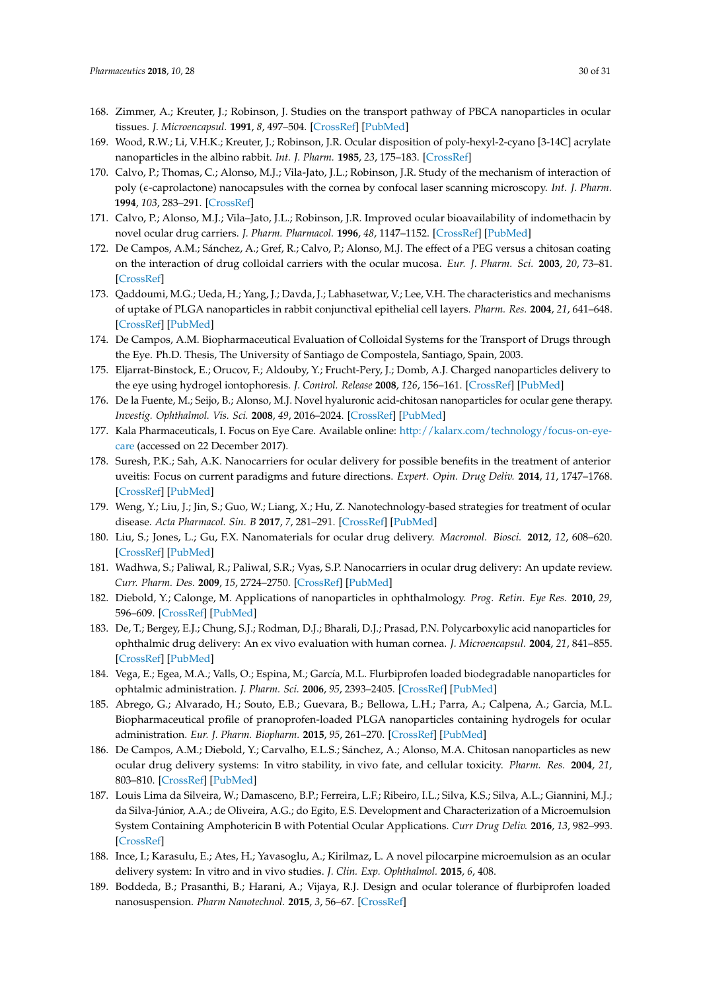- 168. Zimmer, A.; Kreuter, J.; Robinson, J. Studies on the transport pathway of PBCA nanoparticles in ocular tissues. *J. Microencapsul.* **1991**, *8*, 497–504. [CrossRef] [PubMed]
- 169. Wood, R.W.; Li, V.H.K.; Kreuter, J.; Robinson, J.R. Ocular disposition of poly-hexyl-2-cyano [3-14C] acrylate nanoparticles in the albino rabbit. *Int. J. Pharm.* **1985**, *23*, 175–183. [CrossRef]
- 170. Calvo, P.; Thomas, C.; Alonso, M.J.; Vila-Jato, J.L.; Robinson, J.R. Study of the mechanism of interaction of poly ( $\epsilon$ -caprolactone) nanocapsules with the cornea by confocal laser scanning microscopy. *Int. J. Pharm.* **1994**, *103*, 283–291. [CrossRef]
- 171. Calvo, P.; Alonso, M.J.; Vila–Jato, J.L.; Robinson, J.R. Improved ocular bioavailability of indomethacin by novel ocular drug carriers. *J. Pharm. Pharmacol.* **1996**, *48*, 1147–1152. [CrossRef] [PubMed]
- 172. De Campos, A.M.; Sánchez, A.; Gref, R.; Calvo, P.; Alonso, M.J. The effect of a PEG versus a chitosan coating on the interaction of drug colloidal carriers with the ocular mucosa. *Eur. J. Pharm. Sci.* **2003**, *20*, 73–81. [CrossRef]
- 173. Qaddoumi, M.G.; Ueda, H.; Yang, J.; Davda, J.; Labhasetwar, V.; Lee, V.H. The characteristics and mechanisms of uptake of PLGA nanoparticles in rabbit conjunctival epithelial cell layers. *Pharm. Res.* **2004**, *21*, 641–648. [CrossRef] [PubMed]
- 174. De Campos, A.M. Biopharmaceutical Evaluation of Colloidal Systems for the Transport of Drugs through the Eye. Ph.D. Thesis, The University of Santiago de Compostela, Santiago, Spain, 2003.
- 175. Eljarrat-Binstock, E.; Orucov, F.; Aldouby, Y.; Frucht-Pery, J.; Domb, A.J. Charged nanoparticles delivery to the eye using hydrogel iontophoresis. *J. Control. Release* **2008**, *126*, 156–161. [CrossRef] [PubMed]
- 176. De la Fuente, M.; Seijo, B.; Alonso, M.J. Novel hyaluronic acid-chitosan nanoparticles for ocular gene therapy. *Investig. Ophthalmol. Vis. Sci.* **2008**, *49*, 2016–2024. [CrossRef] [PubMed]
- 177. Kala Pharmaceuticals, I. Focus on Eye Care. Available online: http://kalarx.com/technology/focus-on-eyecare (accessed on 22 December 2017).
- 178. Suresh, P.K.; Sah, A.K. Nanocarriers for ocular delivery for possible benefits in the treatment of anterior uveitis: Focus on current paradigms and future directions. *Expert. Opin. Drug Deliv.* **2014**, *11*, 1747–1768. [CrossRef] [PubMed]
- 179. Weng, Y.; Liu, J.; Jin, S.; Guo, W.; Liang, X.; Hu, Z. Nanotechnology-based strategies for treatment of ocular disease. *Acta Pharmacol. Sin. B* **2017**, *7*, 281–291. [CrossRef] [PubMed]
- 180. Liu, S.; Jones, L.; Gu, F.X. Nanomaterials for ocular drug delivery. *Macromol. Biosci.* **2012**, *12*, 608–620. [CrossRef] [PubMed]
- 181. Wadhwa, S.; Paliwal, R.; Paliwal, S.R.; Vyas, S.P. Nanocarriers in ocular drug delivery: An update review. *Curr. Pharm. Des.* **2009**, *15*, 2724–2750. [CrossRef] [PubMed]
- 182. Diebold, Y.; Calonge, M. Applications of nanoparticles in ophthalmology. *Prog. Retin. Eye Res.* **2010**, *29*, 596–609. [CrossRef] [PubMed]
- 183. De, T.; Bergey, E.J.; Chung, S.J.; Rodman, D.J.; Bharali, D.J.; Prasad, P.N. Polycarboxylic acid nanoparticles for ophthalmic drug delivery: An ex vivo evaluation with human cornea. *J. Microencapsul.* **2004**, *21*, 841–855. [CrossRef] [PubMed]
- 184. Vega, E.; Egea, M.A.; Valls, O.; Espina, M.; García, M.L. Flurbiprofen loaded biodegradable nanoparticles for ophtalmic administration. *J. Pharm. Sci.* **2006**, *95*, 2393–2405. [CrossRef] [PubMed]
- 185. Abrego, G.; Alvarado, H.; Souto, E.B.; Guevara, B.; Bellowa, L.H.; Parra, A.; Calpena, A.; Garcia, M.L. Biopharmaceutical profile of pranoprofen-loaded PLGA nanoparticles containing hydrogels for ocular administration. *Eur. J. Pharm. Biopharm.* **2015**, *95*, 261–270. [CrossRef] [PubMed]
- 186. De Campos, A.M.; Diebold, Y.; Carvalho, E.L.S.; Sánchez, A.; Alonso, M.A. Chitosan nanoparticles as new ocular drug delivery systems: In vitro stability, in vivo fate, and cellular toxicity. *Pharm. Res.* **2004**, *21*, 803–810. [CrossRef] [PubMed]
- 187. Louis Lima da Silveira, W.; Damasceno, B.P.; Ferreira, L.F.; Ribeiro, I.L.; Silva, K.S.; Silva, A.L.; Giannini, M.J.; da Silva-Júnior, A.A.; de Oliveira, A.G.; do Egito, E.S. Development and Characterization of a Microemulsion System Containing Amphotericin B with Potential Ocular Applications. *Curr Drug Deliv.* **2016**, *13*, 982–993. [CrossRef]
- 188. Ince, I.; Karasulu, E.; Ates, H.; Yavasoglu, A.; Kirilmaz, L. A novel pilocarpine microemulsion as an ocular delivery system: In vitro and in vivo studies. *J. Clin. Exp. Ophthalmol.* **2015**, *6*, 408.
- 189. Boddeda, B.; Prasanthi, B.; Harani, A.; Vijaya, R.J. Design and ocular tolerance of flurbiprofen loaded nanosuspension. *Pharm Nanotechnol.* **2015**, *3*, 56–67. [CrossRef]